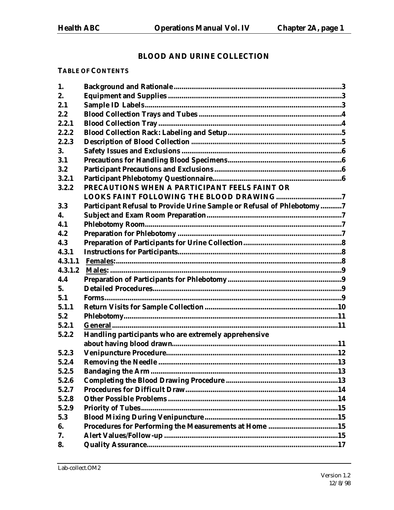# **BLOOD AND URINE COLLECTION**

#### **TABLE OF CONTENTS**

| 1.      |                                                                       |  |
|---------|-----------------------------------------------------------------------|--|
| 2.      |                                                                       |  |
| 2.1     |                                                                       |  |
| 2.2     |                                                                       |  |
| 2.2.1   |                                                                       |  |
| 2.2.2   |                                                                       |  |
| 2.2.3   |                                                                       |  |
| 3.      |                                                                       |  |
| 3.1     |                                                                       |  |
| 3.2     |                                                                       |  |
| 3.2.1   |                                                                       |  |
| 3.2.2   | PRECAUTIONS WHEN A PARTICIPANT FEELS FAINT OR                         |  |
|         |                                                                       |  |
| 3.3     | Participant Refusal to Provide Urine Sample or Refusal of Phlebotomy7 |  |
| 4.      |                                                                       |  |
| 4.1     |                                                                       |  |
| 4.2     |                                                                       |  |
| 4.3     |                                                                       |  |
| 4.3.1   |                                                                       |  |
| 4.3.1.1 |                                                                       |  |
| 4.3.1.2 |                                                                       |  |
| 4.4     |                                                                       |  |
| 5.      |                                                                       |  |
| 5.1     |                                                                       |  |
| 5.1.1   |                                                                       |  |
| 5.2     |                                                                       |  |
| 5.2.1   |                                                                       |  |
| 5.2.2   | Handling participants who are extremely apprehensive                  |  |
|         |                                                                       |  |
| 5.2.3   |                                                                       |  |
| 5.2.4   |                                                                       |  |
| 5.2.5   |                                                                       |  |
| 5.2.6   |                                                                       |  |
| 5.2.7   |                                                                       |  |
| 5.2.8   |                                                                       |  |
| 5.2.9   |                                                                       |  |
| 5.3     |                                                                       |  |
| 6.      | Procedures for Performing the Measurements at Home 15                 |  |
| 7.      |                                                                       |  |
| 8.      |                                                                       |  |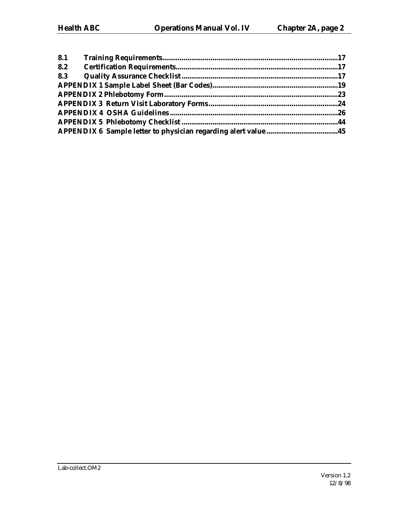| 8.1 |  |
|-----|--|
| 8.2 |  |
| 8.3 |  |
|     |  |
|     |  |
|     |  |
|     |  |
|     |  |
|     |  |
|     |  |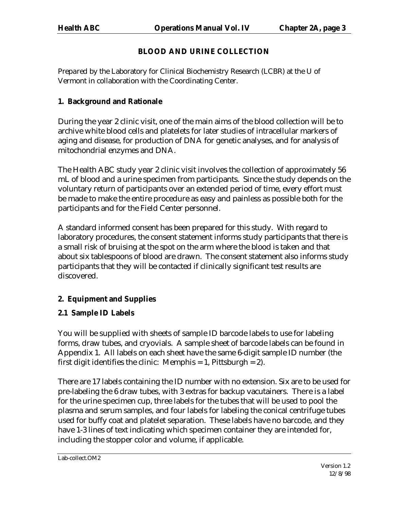# **BLOOD AND URINE COLLECTION**

Prepared by the Laboratory for Clinical Biochemistry Research (LCBR) at the U of Vermont in collaboration with the Coordinating Center.

# **1. Background and Rationale**

During the year 2 clinic visit, one of the main aims of the blood collection will be to archive white blood cells and platelets for later studies of intracellular markers of aging and disease, for production of DNA for genetic analyses, and for analysis of mitochondrial enzymes and DNA.

The Health ABC study year 2 clinic visit involves the collection of approximately 56 mL of blood and a urine specimen from participants. Since the study depends on the voluntary return of participants over an extended period of time, every effort must be made to make the entire procedure as easy and painless as possible both for the participants and for the Field Center personnel.

A standard informed consent has been prepared for this study. With regard to laboratory procedures, the consent statement informs study participants that there is a small risk of bruising at the spot on the arm where the blood is taken and that about six tablespoons of blood are drawn. The consent statement also informs study participants that they will be contacted if clinically significant test results are discovered.

# **2. Equipment and Supplies**

## **2.1 Sample ID Labels**

You will be supplied with sheets of sample ID barcode labels to use for labeling forms, draw tubes, and cryovials. A sample sheet of barcode labels can be found in Appendix 1. All labels on each sheet have the same 6-digit sample ID number (the first digit identifies the clinic: Memphis  $= 1$ , Pittsburgh  $= 2$ ).

There are 17 labels containing the ID number with no extension. Six are to be used for pre-labeling the 6 draw tubes, with 3 extras for backup vacutainers. There is a label for the urine specimen cup, three labels for the tubes that will be used to pool the plasma and serum samples, and four labels for labeling the conical centrifuge tubes used for buffy coat and platelet separation. These labels have no barcode, and they have 1-3 lines of text indicating which specimen container they are intended for, including the stopper color and volume, if applicable.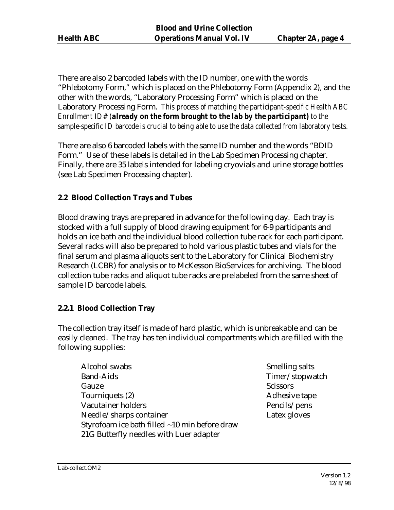There are also 2 barcoded labels with the ID number, one with the words "Phlebotomy Form," which is placed on the Phlebotomy Form (Appendix 2), and the other with the words, "Laboratory Processing Form" which is placed on the Laboratory Processing Form. *This process of matching the participant-specific Health ABC Enrollment ID# (already on the form brought to the lab by the participant) to the sample-specific ID barcode is crucial to being able to use the data collected from laboratory tests.*

There are also 6 barcoded labels with the same ID number and the words "BDID Form." Use of these labels is detailed in the Lab Specimen Processing chapter. Finally, there are 35 labels intended for labeling cryovials and urine storage bottles (see Lab Specimen Processing chapter).

# **2.2 Blood Collection Trays and Tubes**

Blood drawing trays are prepared in advance for the following day. Each tray is stocked with a full supply of blood drawing equipment for 6-9 participants and holds an ice bath and the individual blood collection tube rack for each participant. Several racks will also be prepared to hold various plastic tubes and vials for the final serum and plasma aliquots sent to the Laboratory for Clinical Biochemistry Research (LCBR) for analysis or to McKesson BioServices for archiving. The blood collection tube racks and aliquot tube racks are prelabeled from the same sheet of sample ID barcode labels.

## **2.2.1 Blood Collection Tray**

The collection tray itself is made of hard plastic, which is unbreakable and can be easily cleaned. The tray has ten individual compartments which are filled with the following supplies:

- Alcohol swabs Smelling salts Band-Aids Timer/stopwatch Gauze Scissors Tourniquets (2) and the contract of the Adhesive tape Adhesive tape Vacutainer holders **Pencils**/pens Needle/sharps container Latex gloves Styrofoam ice bath filled ~10 min before draw 21G Butterfly needles with Luer adapter
	-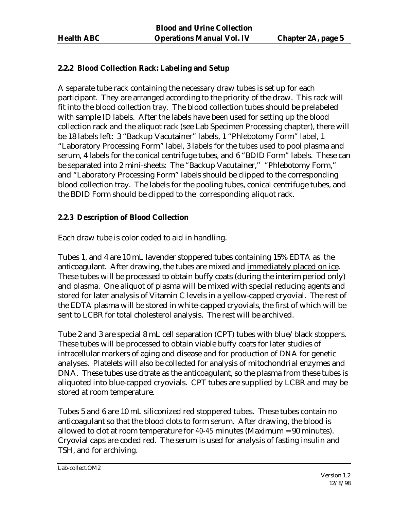## **2.2.2 Blood Collection Rack: Labeling and Setup**

A separate tube rack containing the necessary draw tubes is set up for each participant. They are arranged according to the priority of the draw. This rack will fit into the blood collection tray. The blood collection tubes should be prelabeled with sample ID labels. After the labels have been used for setting up the blood collection rack and the aliquot rack (see Lab Specimen Processing chapter), there will be 18 labels left: 3 "Backup Vacutainer" labels, 1 "Phlebotomy Form" label, 1 "Laboratory Processing Form" label, 3 labels for the tubes used to pool plasma and serum, 4 labels for the conical centrifuge tubes, and 6 "BDID Form" labels. These can be separated into 2 mini-sheets: The "Backup Vacutainer," "Phlebotomy Form," and "Laboratory Processing Form" labels should be clipped to the corresponding blood collection tray. The labels for the pooling tubes, conical centrifuge tubes, and the BDID Form should be clipped to the corresponding aliquot rack.

## **2.2.3 Description of Blood Collection**

Each draw tube is color coded to aid in handling.

Tubes 1, and 4 are 10 mL lavender stoppered tubes containing 15% EDTA as the anticoagulant. After drawing, the tubes are mixed and immediately placed on ice. These tubes will be processed to obtain buffy coats (during the interim period only) and plasma. One aliquot of plasma will be mixed with special reducing agents and stored for later analysis of Vitamin C levels in a yellow-capped cryovial. The rest of the EDTA plasma will be stored in white-capped cryovials, the first of which will be sent to LCBR for total cholesterol analysis. The rest will be archived.

Tube 2 and 3 are special 8 mL cell separation (CPT) tubes with blue/black stoppers. These tubes will be processed to obtain viable buffy coats for later studies of intracellular markers of aging and disease and for production of DNA for genetic analyses. Platelets will also be collected for analysis of mitochondrial enzymes and DNA. These tubes use citrate as the anticoagulant, so the plasma from these tubes is aliquoted into blue-capped cryovials. CPT tubes are supplied by LCBR and may be stored at room temperature.

Tubes 5 and 6 are 10 mL siliconized red stoppered tubes. These tubes contain no anticoagulant so that the blood clots to form serum. After drawing, the blood is allowed to clot at room temperature for *40-45* minutes (Maximum = 90 minutes). Cryovial caps are coded red. The serum is used for analysis of fasting insulin and TSH, and for archiving.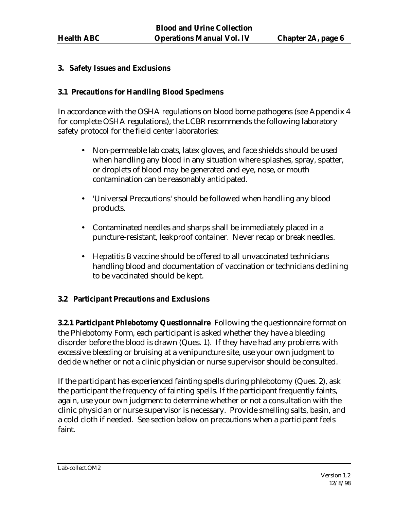## **3. Safety Issues and Exclusions**

### **3.1 Precautions for Handling Blood Specimens**

In accordance with the OSHA regulations on blood borne pathogens (see Appendix 4 for complete OSHA regulations), the LCBR recommends the following laboratory safety protocol for the field center laboratories:

- Non-permeable lab coats, latex gloves, and face shields should be used when handling any blood in any situation where splashes, spray, spatter, or droplets of blood may be generated and eye, nose, or mouth contamination can be reasonably anticipated.
- 'Universal Precautions' should be followed when handling any blood products.
- Contaminated needles and sharps shall be immediately placed in a puncture-resistant, leakproof container. Never recap or break needles.
- Hepatitis B vaccine should be offered to all unvaccinated technicians handling blood and documentation of vaccination or technicians declining to be vaccinated should be kept.

## **3.2 Participant Precautions and Exclusions**

**3.2.1 Participant Phlebotomy Questionnaire** Following the questionnaire format on the Phlebotomy Form, each participant is asked whether they have a bleeding disorder before the blood is drawn (Ques. 1). If they have had any problems with excessive bleeding or bruising at a venipuncture site, use your own judgment to decide whether or not a clinic physician or nurse supervisor should be consulted.

If the participant has experienced fainting spells during phlebotomy (Ques. 2), ask the participant the frequency of fainting spells. If the participant frequently faints, again, use your own judgment to determine whether or not a consultation with the clinic physician or nurse supervisor is necessary. Provide smelling salts, basin, and a cold cloth if needed. See section below on precautions when a participant feels faint.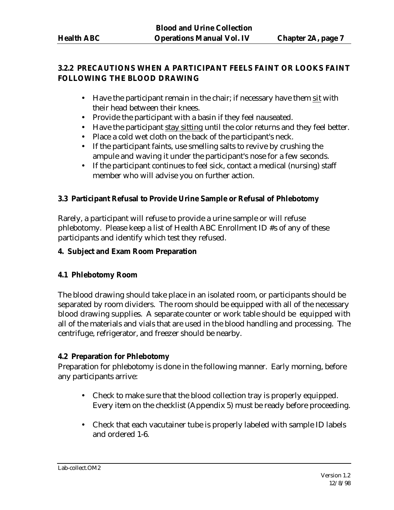## **3.2.2 PRECAUTIONS WHEN A PARTICIPANT FEELS FAINT OR LOOKS FAINT FOLLOWING THE BLOOD DRAWING**

- Have the participant remain in the chair; if necessary have them sit with their head between their knees.
- Provide the participant with a basin if they feel nauseated.
- Have the participant stay sitting until the color returns and they feel better.
- Place a cold wet cloth on the back of the participant's neck.
- If the participant faints, use smelling salts to revive by crushing the ampule and waving it under the participant's nose for a few seconds.
- If the participant continues to feel sick, contact a medical (nursing) staff member who will advise you on further action.

## **3.3 Participant Refusal to Provide Urine Sample or Refusal of Phlebotomy**

Rarely, a participant will refuse to provide a urine sample or will refuse phlebotomy. Please keep a list of Health ABC Enrollment ID #s of any of these participants and identify which test they refused.

### **4. Subject and Exam Room Preparation**

### **4.1 Phlebotomy Room**

The blood drawing should take place in an isolated room, or participants should be separated by room dividers. The room should be equipped with all of the necessary blood drawing supplies. A separate counter or work table should be equipped with all of the materials and vials that are used in the blood handling and processing. The centrifuge, refrigerator, and freezer should be nearby.

### **4.2 Preparation for Phlebotomy**

Preparation for phlebotomy is done in the following manner. Early morning, before any participants arrive:

- Check to make sure that the blood collection tray is properly equipped. Every item on the checklist (Appendix 5) must be ready before proceeding.
- Check that each vacutainer tube is properly labeled with sample ID labels and ordered 1-6.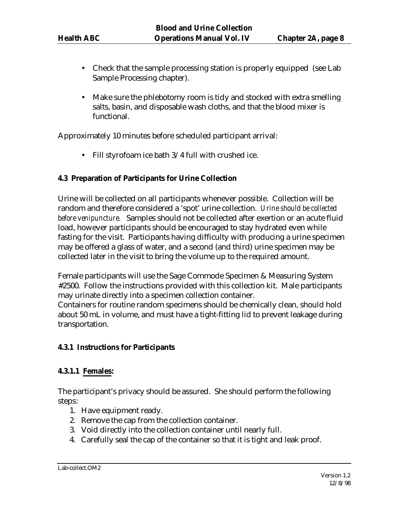- Check that the sample processing station is properly equipped (see Lab) Sample Processing chapter).
- Make sure the phlebotomy room is tidy and stocked with extra smelling salts, basin, and disposable wash cloths, and that the blood mixer is functional.

Approximately 10 minutes before scheduled participant arrival:

• Fill styrofoam ice bath 3/4 full with crushed ice.

## **4.3 Preparation of Participants for Urine Collection**

Urine will be collected on all participants whenever possible. Collection will be random and therefore considered a 'spot' urine collection. *Urine should be collected before venipuncture.* Samples should not be collected after exertion or an acute fluid load, however participants should be encouraged to stay hydrated even while fasting for the visit. Participants having difficulty with producing a urine specimen may be offered a glass of water, and a second (and third) urine specimen may be collected later in the visit to bring the volume up to the required amount.

Female participants will use the Sage Commode Specimen & Measuring System #2500. Follow the instructions provided with this collection kit. Male participants may urinate directly into a specimen collection container.

Containers for routine random specimens should be chemically clean, should hold about 50 mL in volume, and must have a tight-fitting lid to prevent leakage during transportation.

### **4.3.1 Instructions for Participants**

### **4.3.1.1 Females:**

The participant's privacy should be assured. She should perform the following steps:

- 1. Have equipment ready.
- 2. Remove the cap from the collection container.
- 3. Void directly into the collection container until nearly full.
- 4. Carefully seal the cap of the container so that it is tight and leak proof.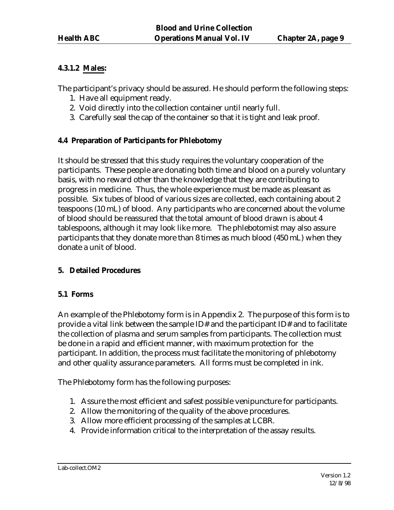## **4.3.1.2 Males:**

The participant's privacy should be assured. He should perform the following steps:

- 1. Have all equipment ready.
- 2. Void directly into the collection container until nearly full.
- 3. Carefully seal the cap of the container so that it is tight and leak proof.

# **4.4 Preparation of Participants for Phlebotomy**

It should be stressed that this study requires the voluntary cooperation of the participants. These people are donating both time and blood on a purely voluntary basis, with no reward other than the knowledge that they are contributing to progress in medicine. Thus, the whole experience must be made as pleasant as possible. Six tubes of blood of various sizes are collected, each containing about 2 teaspoons (10 mL) of blood. Any participants who are concerned about the volume of blood should be reassured that the total amount of blood drawn is about 4 tablespoons, although it may look like more. The phlebotomist may also assure participants that they donate more than 8 times as much blood (450 mL) when they donate a unit of blood.

## **5. Detailed Procedures**

## **5.1 Forms**

An example of the Phlebotomy form is in Appendix 2. The purpose of this form is to provide a vital link between the sample ID# and the participant ID# and to facilitate the collection of plasma and serum samples from participants. The collection must be done in a rapid and efficient manner, with maximum protection for the participant. In addition, the process must facilitate the monitoring of phlebotomy and other quality assurance parameters. All forms must be completed in ink.

The Phlebotomy form has the following purposes:

- 1. Assure the most efficient and safest possible venipuncture for participants.
- 2. Allow the monitoring of the quality of the above procedures.
- 3. Allow more efficient processing of the samples at LCBR.
- 4. Provide information critical to the interpretation of the assay results.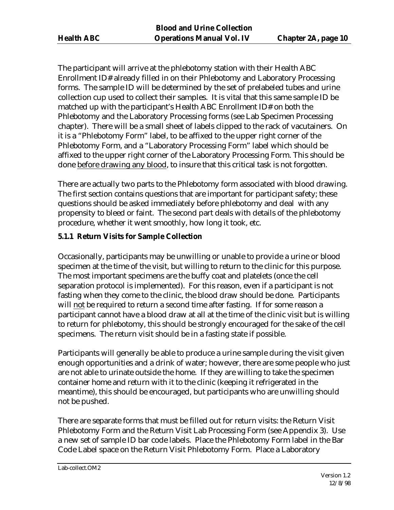The participant will arrive at the phlebotomy station with their Health ABC Enrollment ID# already filled in on their Phlebotomy and Laboratory Processing forms. The sample ID will be determined by the set of prelabeled tubes and urine collection cup used to collect their samples. It is vital that this same sample ID be matched up with the participant's Health ABC Enrollment ID# on both the Phlebotomy and the Laboratory Processing forms (see Lab Specimen Processing chapter). There will be a small sheet of labels clipped to the rack of vacutainers. On it is a "Phlebotomy Form" label, to be affixed to the upper right corner of the Phlebotomy Form, and a "Laboratory Processing Form" label which should be affixed to the upper right corner of the Laboratory Processing Form. This should be done before drawing any blood, to insure that this critical task is not forgotten.

There are actually two parts to the Phlebotomy form associated with blood drawing. The first section contains questions that are important for participant safety; these questions should be asked immediately before phlebotomy and deal with any propensity to bleed or faint. The second part deals with details of the phlebotomy procedure, whether it went smoothly, how long it took, etc.

## **5.1.1 Return Visits for Sample Collection**

Occasionally, participants may be unwilling or unable to provide a urine or blood specimen at the time of the visit, but willing to return to the clinic for this purpose. The most important specimens are the buffy coat and platelets (once the cell separation protocol is implemented). For this reason, even if a participant is not fasting when they come to the clinic, the blood draw should be done. Participants will not be required to return a second time after fasting. If for some reason a participant cannot have a blood draw at all at the time of the clinic visit but is willing to return for phlebotomy, this should be strongly encouraged for the sake of the cell specimens. The return visit should be in a fasting state if possible.

Participants will generally be able to produce a urine sample during the visit given enough opportunities and a drink of water; however, there are some people who just are not able to urinate outside the home. If they are willing to take the specimen container home and return with it to the clinic (keeping it refrigerated in the meantime), this should be encouraged, but participants who are unwilling should not be pushed.

There are separate forms that must be filled out for return visits: the Return Visit Phlebotomy Form and the Return Visit Lab Processing Form (see Appendix 3). Use a new set of sample ID bar code labels. Place the Phlebotomy Form label in the Bar Code Label space on the Return Visit Phlebotomy Form. Place a Laboratory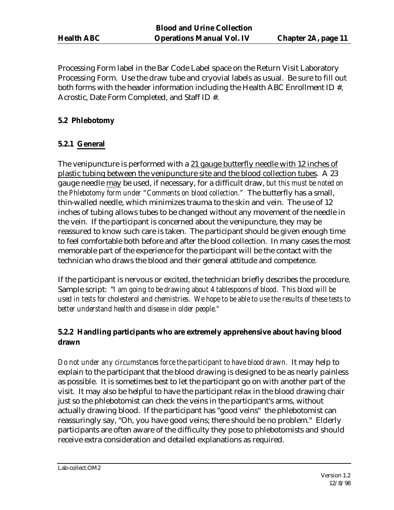Processing Form label in the Bar Code Label space on the Return Visit Laboratory Processing Form. Use the draw tube and cryovial labels as usual. Be sure to fill out both forms with the header information including the Health ABC Enrollment ID #, Acrostic, Date Form Completed, and Staff ID #.

### **5.2 Phlebotomy**

# **5.2.1 General**

The venipuncture is performed with a 21 gauge butterfly needle with 12 inches of plastic tubing between the venipuncture site and the blood collection tubes. A 23 gauge needle may be used, if necessary, for a difficult draw, *but this must be noted on the Phlebotomy form under "Comments on blood collection."* The butterfly has a small, thin-walled needle, which minimizes trauma to the skin and vein. The use of 12 inches of tubing allows tubes to be changed without any movement of the needle in the vein. If the participant is concerned about the venipuncture, they may be reassured to know such care is taken. The participant should be given enough time to feel comfortable both before and after the blood collection. In many cases the most memorable part of the experience for the participant will be the contact with the technician who draws the blood and their general attitude and competence.

If the participant is nervous or excited, the technician briefly describes the procedure. Sample script: "*I am going to be drawing about 4 tablespoons of blood. This blood will be used in tests for cholesterol and chemistries. We hope to be able to use the results of these tests to better understand health and disease in older people."*

# **5.2.2 Handling participants who are extremely apprehensive about having blood drawn**

*Do not under any circumstances force the participant to have blood drawn.* It may help to explain to the participant that the blood drawing is designed to be as nearly painless as possible. It is sometimes best to let the participant go on with another part of the visit. It may also be helpful to have the participant relax in the blood drawing chair just so the phlebotomist can check the veins in the participant's arms, without actually drawing blood. If the participant has "good veins" the phlebotomist can reassuringly say, "Oh, you have good veins; there should be no problem." Elderly participants are often aware of the difficulty they pose to phlebotomists and should receive extra consideration and detailed explanations as required.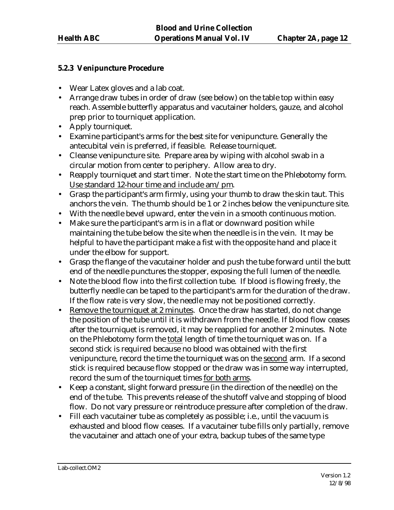## **5.2.3 Venipuncture Procedure**

- Wear Latex gloves and a lab coat.
- Arrange draw tubes in order of draw (see below) on the table top within easy reach. Assemble butterfly apparatus and vacutainer holders, gauze, and alcohol prep prior to tourniquet application.
- Apply tourniquet.
- Examine participant's arms for the best site for venipuncture. Generally the antecubital vein is preferred, if feasible. Release tourniquet.
- Cleanse venipuncture site. Prepare area by wiping with alcohol swab in a circular motion from center to periphery. Allow area to dry.
- Reapply tourniquet and start timer. Note the start time on the Phlebotomy form. Use standard 12-hour time and include am/pm.
- Grasp the participant's arm firmly, using your thumb to draw the skin taut. This anchors the vein. The thumb should be 1 or 2 inches below the venipuncture site.
- With the needle bevel upward, enter the vein in a smooth continuous motion.
- Make sure the participant's arm is in a flat or downward position while maintaining the tube below the site when the needle is in the vein. It may be helpful to have the participant make a fist with the opposite hand and place it under the elbow for support.
- Grasp the flange of the vacutainer holder and push the tube forward until the butt end of the needle punctures the stopper, exposing the full lumen of the needle.
- Note the blood flow into the first collection tube. If blood is flowing freely, the butterfly needle can be taped to the participant's arm for the duration of the draw. If the flow rate is very slow, the needle may not be positioned correctly.
- Remove the tourniquet at 2 minutes. Once the draw has started, do not change the position of the tube until it is withdrawn from the needle. If blood flow ceases after the tourniquet is removed, it may be reapplied for another 2 minutes. Note on the Phlebotomy form the total length of time the tourniquet was on. If a second stick is required because no blood was obtained with the first venipuncture, record the time the tourniquet was on the second arm. If a second stick is required because flow stopped or the draw was in some way interrupted, record the sum of the tourniquet times for both arms.
- Keep a constant, slight forward pressure (in the direction of the needle) on the end of the tube. This prevents release of the shutoff valve and stopping of blood flow. Do not vary pressure or reintroduce pressure after completion of the draw.
- Fill each vacutainer tube as completely as possible; i.e., until the vacuum is exhausted and blood flow ceases. If a vacutainer tube fills only partially, remove the vacutainer and attach one of your extra, backup tubes of the same type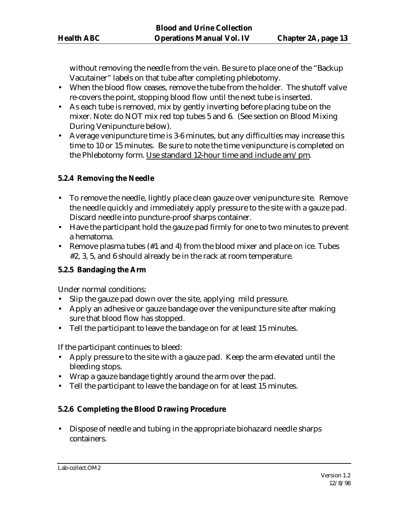without removing the needle from the vein. Be sure to place one of the "Backup Vacutainer" labels on that tube after completing phlebotomy.

- When the blood flow ceases, remove the tube from the holder. The shutoff valve re-covers the point, stopping blood flow until the next tube is inserted.
- As each tube is removed, mix by gently inverting before placing tube on the mixer. Note: do NOT mix red top tubes 5 and 6. (See section on Blood Mixing During Venipuncture below).
- Average venipuncture time is 3-6 minutes, but any difficulties may increase this time to 10 or 15 minutes. Be sure to note the time venipuncture is completed on the Phlebotomy form. Use standard 12-hour time and include am/pm.

## **5.2.4 Removing the Needle**

- To remove the needle, lightly place clean gauze over venipuncture site. Remove the needle quickly and immediately apply pressure to the site with a gauze pad. Discard needle into puncture-proof sharps container.
- Have the participant hold the gauze pad firmly for one to two minutes to prevent a hematoma.
- Remove plasma tubes (#1 and 4) from the blood mixer and place on ice. Tubes #2, 3, 5, and 6 should already be in the rack at room temperature.

## **5.2.5 Bandaging the Arm**

Under normal conditions:

- Slip the gauze pad down over the site, applying mild pressure.
- Apply an adhesive or gauze bandage over the venipuncture site after making sure that blood flow has stopped.
- Tell the participant to leave the bandage on for at least 15 minutes.

If the participant continues to bleed:

- Apply pressure to the site with a gauze pad. Keep the arm elevated until the bleeding stops.
- Wrap a gauze bandage tightly around the arm over the pad.
- Tell the participant to leave the bandage on for at least 15 minutes.

# **5.2.6 Completing the Blood Drawing Procedure**

• Dispose of needle and tubing in the appropriate biohazard needle sharps containers.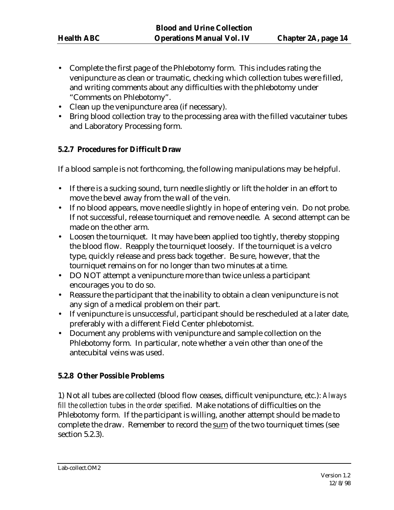- Complete the first page of the Phlebotomy form. This includes rating the venipuncture as clean or traumatic, checking which collection tubes were filled, and writing comments about any difficulties with the phlebotomy under "Comments on Phlebotomy".
- Clean up the venipuncture area (if necessary).
- Bring blood collection tray to the processing area with the filled vacutainer tubes and Laboratory Processing form.

## **5.2.7 Procedures for Difficult Draw**

If a blood sample is not forthcoming, the following manipulations may be helpful.

- If there is a sucking sound, turn needle slightly or lift the holder in an effort to move the bevel away from the wall of the vein.
- If no blood appears, move needle slightly in hope of entering vein. Do not probe. If not successful, release tourniquet and remove needle. A second attempt can be made on the other arm.
- Loosen the tourniquet. It may have been applied too tightly, thereby stopping the blood flow. Reapply the tourniquet loosely. If the tourniquet is a velcro type, quickly release and press back together. Be sure, however, that the tourniquet remains on for no longer than two minutes at a time.
- DO NOT attempt a venipuncture more than twice unless a participant encourages you to do so.
- Reassure the participant that the inability to obtain a clean venipuncture is not any sign of a medical problem on their part.
- If venipuncture is unsuccessful, participant should be rescheduled at a later date, preferably with a different Field Center phlebotomist.
- Document any problems with venipuncture and sample collection on the Phlebotomy form. In particular, note whether a vein other than one of the antecubital veins was used.

### **5.2.8 Other Possible Problems**

1) Not all tubes are collected (blood flow ceases, difficult venipuncture, etc.): *Always fill the collection tubes in the order specified*. Make notations of difficulties on the Phlebotomy form. If the participant is willing, another attempt should be made to complete the draw. Remember to record the sum of the two tourniquet times (see section 5.2.3).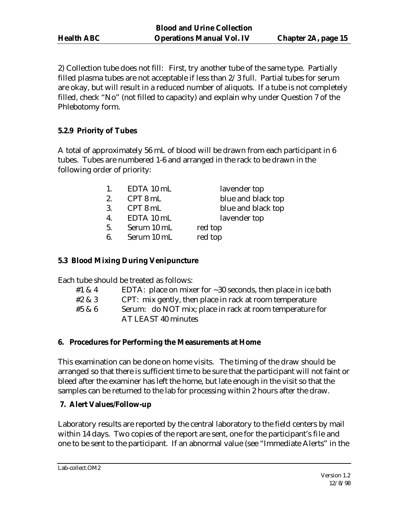2) Collection tube does not fill: First, try another tube of the same type. Partially filled plasma tubes are not acceptable if less than 2/3 full. Partial tubes for serum are okay, but will result in a reduced number of aliquots. If a tube is not completely filled, check "No" (not filled to capacity) and explain why under Question 7 of the Phlebotomy form.

# **5.2.9 Priority of Tubes**

A total of approximately 56 mL of blood will be drawn from each participant in 6 tubes. Tubes are numbered 1-6 and arranged in the rack to be drawn in the following order of priority:

|    | EDTA 10 mL  | lavender top       |
|----|-------------|--------------------|
| 2. | CPT 8 mL    | blue and black top |
| 3. | CPT 8 mL    | blue and black top |
| 4. | EDTA 10 mL  | lavender top       |
| 5. | Serum 10 mL | red top            |
| 6. | Serum 10 mL | red top            |
|    |             |                    |

## **5.3 Blood Mixing During Venipuncture**

Each tube should be treated as follows:

| #1 & 4 | EDTA: place on mixer for $\sim 30$ seconds, then place in ice bath              |
|--------|---------------------------------------------------------------------------------|
| #2 & 3 | CPT: mix gently, then place in rack at room temperature                         |
| #5 & 6 | Serum: do NOT mix; place in rack at room temperature for<br>AT LEAST 40 minutes |

# **6. Procedures for Performing the Measurements at Home**

This examination can be done on home visits. The timing of the draw should be arranged so that there is sufficient time to be sure that the participant will not faint or bleed after the examiner has left the home, but late enough in the visit so that the samples can be returned to the lab for processing within 2 hours after the draw.

# **7. Alert Values/Follow-up**

Laboratory results are reported by the central laboratory to the field centers by mail within 14 days. Two copies of the report are sent, one for the participant's file and one to be sent to the participant. If an abnormal value (see "Immediate Alerts" in the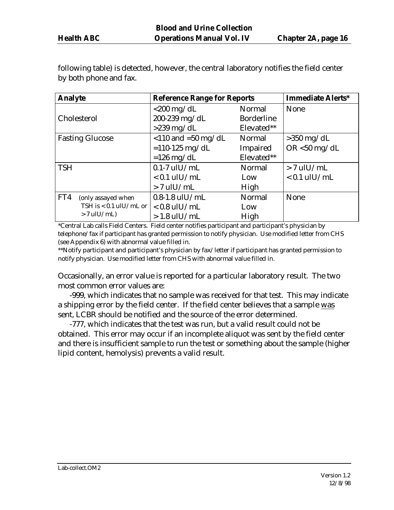following table) is detected, however, the central laboratory notifies the field center by both phone and fax.

| <b>Analyte</b>            | <b>Reference Range for Reports</b> |                   | <b>Immediate Alerts*</b> |
|---------------------------|------------------------------------|-------------------|--------------------------|
|                           | $<$ 200 mg/dL                      | Normal            | <b>None</b>              |
| Cholesterol               | $200 - 239$ mg/dL                  | <b>Borderline</b> |                          |
|                           | $>239$ mg/dL                       | Elevated**        |                          |
| <b>Fasting Glucose</b>    | $<$ 110 and =50 mg/dL              | Normal            | $>350$ mg/dL             |
|                           | $=110-125$ mg/dL                   | Impaired          | OR <50 mg/dL             |
|                           | $=126$ mg/dL                       | Elevated**        |                          |
| <b>TSH</b>                | $0.1$ -7 ulU/mL                    | Normal            | $> 7$ ulU/mL             |
|                           | $< 0.1$ ulU/mL                     | Low               | $< 0.1$ ulU/mL           |
|                           | $> 7$ ulU/mL                       | High              |                          |
| FT4<br>(only assayed when | $0.8 - 1.8$ ulU/mL                 | Normal            | None                     |
| TSH is $< 0.1$ ulU/mL or  | $< 0.8$ ulU/mL                     | Low               |                          |
| $> 7$ ulU/mL)             | $>1.8$ ulU/mL                      | High              |                          |

\*Central Lab calls Field Centers. Field center notifies participant and participant's physician by telephone/fax if participant has granted permission to notify physician. Use modified letter from CHS (see Appendix 6) with abnormal value filled in.

\*\*Notify participant and participant's physician by fax/letter if participant has granted permission to notify physician. Use modified letter from CHS with abnormal value filled in.

Occasionally, an error value is reported for a particular laboratory result. The two most common error values are:

-999, which indicates that no sample was received for that test. This may indicate a shipping error by the field center. If the field center believes that a sample was sent, LCBR should be notified and the source of the error determined.

-777, which indicates that the test was run, but a valid result could not be obtained. This error may occur if an incomplete aliquot was sent by the field center and there is insufficient sample to run the test or something about the sample (higher lipid content, hemolysis) prevents a valid result.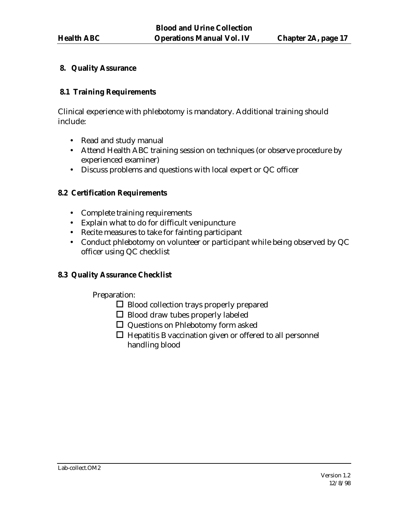### **8. Quality Assurance**

### **8.1 Training Requirements**

Clinical experience with phlebotomy is mandatory. Additional training should include:

- Read and study manual
- Attend Health ABC training session on techniques (or observe procedure by experienced examiner)
- Discuss problems and questions with local expert or QC officer

### **8.2 Certification Requirements**

- Complete training requirements
- Explain what to do for difficult venipuncture
- Recite measures to take for fainting participant
- Conduct phlebotomy on volunteer or participant while being observed by QC officer using QC checklist

### **8.3 Quality Assurance Checklist**

Preparation:

- $\square$  Blood collection trays properly prepared
- $\Box$  Blood draw tubes properly labeled
- $\Box$  Questions on Phlebotomy form asked
- $\Box$  Hepatitis B vaccination given or offered to all personnel handling blood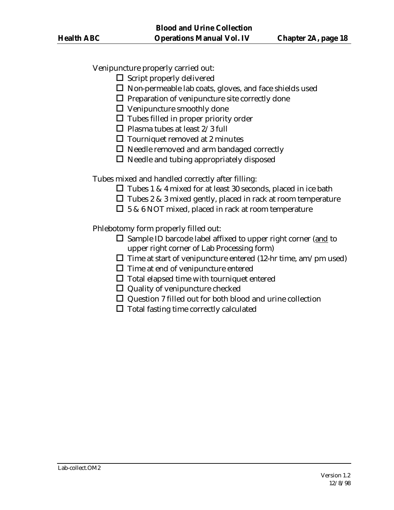Venipuncture properly carried out:

- $\Box$  Script properly delivered
	- $\Box$  Non-permeable lab coats, gloves, and face shields used
	- $\Box$  Preparation of venipuncture site correctly done
	- $\Box$  Venipuncture smoothly done
	- $\Box$  Tubes filled in proper priority order
	- $\Box$  Plasma tubes at least 2/3 full
	- $\Box$  Tourniquet removed at 2 minutes
	- $\Box$  Needle removed and arm bandaged correctly
	- $\Box$  Needle and tubing appropriately disposed

Tubes mixed and handled correctly after filling:

- $\square$  Tubes 1 & 4 mixed for at least 30 seconds, placed in ice bath
- $\Box$  Tubes 2 & 3 mixed gently, placed in rack at room temperature
- $\Box$  5 & 6 NOT mixed, placed in rack at room temperature

Phlebotomy form properly filled out:

- $\square$  Sample ID barcode label affixed to upper right corner (and to upper right corner of Lab Processing form)
- $\Box$  Time at start of venipuncture entered (12-hr time, am/pm used)
- $\square$  Time at end of venipuncture entered
- $\square$  Total elapsed time with tourniquet entered
- $\Box$  Quality of venipuncture checked
- $\Box$  Question 7 filled out for both blood and urine collection
- $\Box$  Total fasting time correctly calculated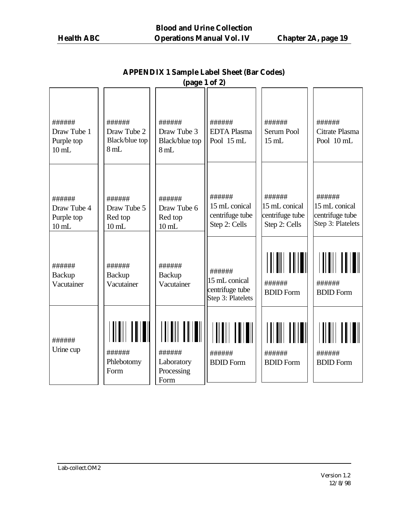|                                                        |                                                                                                                         | $(\mu q_S c_1 u_2 u_3)$                        |                                                                 |                                                             |                                                                                                                                                                                                                                                                                                                                                                                                                 |
|--------------------------------------------------------|-------------------------------------------------------------------------------------------------------------------------|------------------------------------------------|-----------------------------------------------------------------|-------------------------------------------------------------|-----------------------------------------------------------------------------------------------------------------------------------------------------------------------------------------------------------------------------------------------------------------------------------------------------------------------------------------------------------------------------------------------------------------|
| ######<br>Draw Tube 1<br>Purple top<br>$10$ mL         | ######<br>Draw Tube 2<br>Black/blue top<br>8mL                                                                          | ######<br>Draw Tube 3<br>Black/blue top<br>8mL | ######<br><b>EDTA Plasma</b><br>Pool 15 mL                      | ######<br><b>Serum Pool</b><br>$15 \text{ mL}$              | ######<br>Citrate Plasma<br>Pool 10 mL                                                                                                                                                                                                                                                                                                                                                                          |
| ######<br>Draw Tube 4<br>Purple top<br>$10 \text{ mL}$ | ######<br>Draw Tube 5<br>Red top<br>$10$ mL                                                                             | ######<br>Draw Tube 6<br>Red top<br>$10$ mL    | ######<br>15 mL conical<br>centrifuge tube<br>Step 2: Cells     | ######<br>15 mL conical<br>centrifuge tube<br>Step 2: Cells | ######<br>15 mL conical<br>centrifuge tube<br>Step 3: Platelets                                                                                                                                                                                                                                                                                                                                                 |
| ######<br><b>Backup</b><br>Vacutainer                  | ######<br><b>Backup</b><br>Vacutainer                                                                                   | ######<br>Backup<br>Vacutainer                 | ######<br>15 mL conical<br>centrifuge tube<br>Step 3: Platelets | ######<br><b>BDID</b> Form                                  | $\left(\begin{array}{c c c c c} \textbf{I} & \textbf{I} & \textbf{I} & \textbf{I} \\ \textbf{I} & \textbf{I} & \textbf{I} & \textbf{I} & \textbf{I} \end{array}\right) \left(\begin{array}{c c c} \textbf{I} & \textbf{I} & \textbf{I} & \textbf{I} \\ \textbf{I} & \textbf{I} & \textbf{I} & \textbf{I} \\ \textbf{I} & \textbf{I} & \textbf{I} & \textbf{I} \end{array}\right)$<br>######<br><b>BDID</b> Form |
| ######<br>Urine cup                                    | $\left(\left\lVert \mathbf{r} \right\rVert \right) \left\lVert \mathbf{r} \right\rVert$<br>######<br>Phlebotomy<br>Form | ######<br>Laboratory<br>Processing<br>Form     | ######<br><b>BDID</b> Form                                      | ######<br><b>BDID</b> Form                                  | ######<br><b>BDID</b> Form                                                                                                                                                                                                                                                                                                                                                                                      |

#### **APPENDIX 1 Sample Label Sheet (Bar Codes) (page 1 of 2)**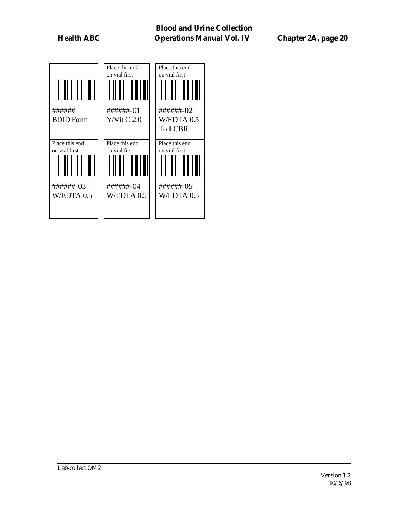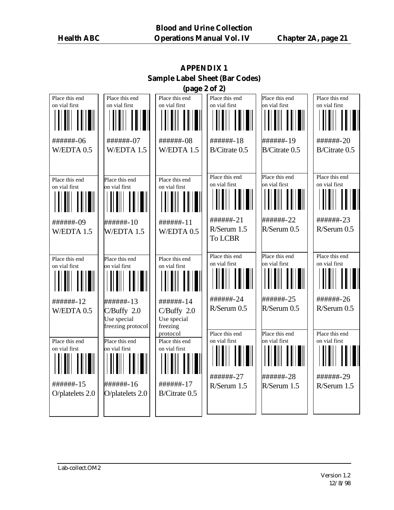

**APPENDIX 1**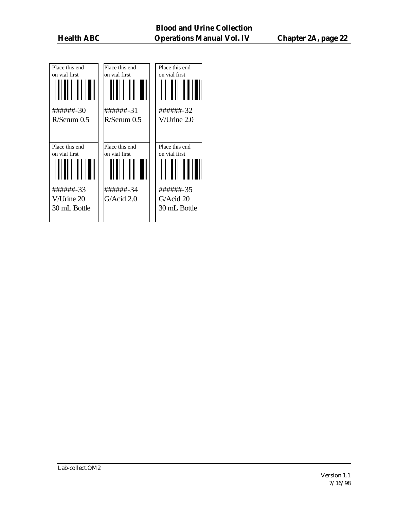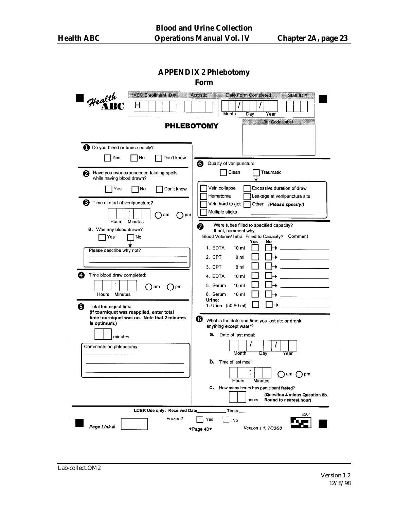|                                                                                                                                         | Form                                                                                                                                   |
|-----------------------------------------------------------------------------------------------------------------------------------------|----------------------------------------------------------------------------------------------------------------------------------------|
| <b>HABC Enrollment ID #</b><br>Health<br>H                                                                                              | <b>Acrostic</b><br>Date Form Completed<br>Staff ID#<br>I<br>I<br>Month<br>Dav<br>Year<br><b>Bar Code Label</b><br>sen el el            |
| <b>PHLEBOTOMY</b>                                                                                                                       |                                                                                                                                        |
| Do you bleed or bruise easily?<br>Don't know<br>Yes<br>No                                                                               |                                                                                                                                        |
| Have you ever experienced fainting spells<br>0<br>while having blood drawn?                                                             | 6<br>Quality of venipuncture:<br>Clean<br>Traumatic                                                                                    |
| Don't know<br>Yes<br>No<br>17 Time at start of venipuncture?                                                                            | Vein collapse<br>Excessive duration of draw<br>Hematoma<br>Leakage at venipuncture site<br>Vein hard to get<br>Other (Please specify:) |
| ) pm<br>am<br><b>Hours</b><br>Minutes                                                                                                   | Multiple sticks                                                                                                                        |
| <b>a.</b> Was any blood drawn?<br>No<br>Yes                                                                                             | Were tubes filled to specified capacity?<br>0<br>If not, comment why.<br>Blood Volume/Tube Filled to Capacity?<br>Comment<br>Yes<br>No |
| Please describe why not?                                                                                                                | 1. EDTA<br>10 <sub>ml</sub><br>2. CPT<br>8 ml<br>3. CPT<br>8 ml                                                                        |
| Time blood draw completed:<br>am<br>pm<br>Hours<br>Minutes                                                                              | 4. EDTA<br>10 <sub>m</sub><br>5. Serum<br>10 ml<br>6. Serum<br>10 <sub>m</sub><br>Urine:                                               |
| 6<br>Total tourniquet time:<br>(If tourniquet was reapplied, enter total<br>time tourniquet was on. Note that 2 minutes<br>is optimum.) | 1. Urine (50-60 ml)<br>❸<br>What is the date and time you last ate or drank                                                            |
| minutes                                                                                                                                 | anything except water?<br>a.<br>Date of last meal:                                                                                     |
| Comments on phlebotomy:                                                                                                                 | Month<br>Day<br>Year<br>b.<br>Time of last meal:                                                                                       |
|                                                                                                                                         | am<br>pm<br>Hours<br>Minutes                                                                                                           |
|                                                                                                                                         | c.<br>How many hours has participant fasted?<br>(Question 4 minus Question 8b.<br>hours<br>Round to nearest hour)                      |
| <b>LCBR Use only: Received Date:</b><br>Frozen?                                                                                         | Time:<br>6261                                                                                                                          |
| Page Link #                                                                                                                             | Yes<br>No<br>Version 1.1, 7/30/98<br>$\bullet$ Page 48 $\bullet$                                                                       |

**APPENDIX 2 Phlebotomy**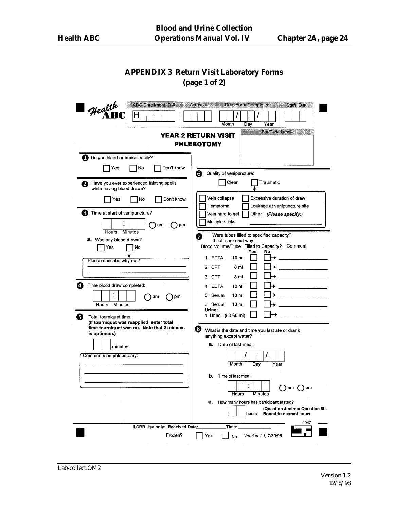# **APPENDIX 3 Return Visit Laboratory Forms (page 1 of 2)**

| <b>HABC Enrollment ID #</b><br>Health<br>68 X                               | Date Form Completed<br>Acrostic <b>Across</b><br>Staff ID#                     |
|-----------------------------------------------------------------------------|--------------------------------------------------------------------------------|
| $\sf H$                                                                     | I                                                                              |
|                                                                             | Month<br>Day<br>Year                                                           |
|                                                                             | <b>Bar Code Label</b><br>YEAR 2 RETURN VISIT                                   |
|                                                                             | <b>PHLEBOTOMY</b>                                                              |
| Do you bleed or bruise easily?                                              |                                                                                |
| Don't know<br>Yes<br>No                                                     |                                                                                |
|                                                                             | 0<br>Quality of venipuncture:                                                  |
| Have you ever experienced fainting spells<br>И<br>while having blood drawn? | Clean<br>Traumatic                                                             |
| Don't know<br>No<br>Yes                                                     | Vein collapse<br>Excessive duration of draw                                    |
|                                                                             | Hematoma<br>Leakage at venipuncture site                                       |
| Time at start of venipuncture?<br>6                                         | Vein hard to get<br>Other (Please specify:)<br>Multiple sticks                 |
| am<br>pm<br><b>Minutes</b><br>Hours                                         |                                                                                |
| <b>a.</b> Was any blood drawn?                                              | Were tubes filled to specified capacity?<br>0<br>If not, comment why.          |
| No<br>Yes                                                                   | Blood Volume/Tube Filled to Capacity?<br>Comment<br>Yes<br>No                  |
| Please describe why not?                                                    | 1. EDTA<br>10 <sub>m1</sub>                                                    |
|                                                                             | 2. CPT<br>8 ml                                                                 |
|                                                                             | 3. CPT<br>8 <sub>ml</sub>                                                      |
| Time blood draw completed:<br>4                                             | 4. EDTA<br>10 <sub>m</sub>                                                     |
| pm<br>am<br>Hours<br><b>Minutes</b>                                         | 10 <sub>m</sub><br>5. Serum<br>6. Serum<br>10 <sub>m1</sub>                    |
|                                                                             | Urine:                                                                         |
| 6<br>Total tourniquet time:<br>(If tourniquet was reapplied, enter total    | 1. Urine (50-60 ml)                                                            |
| time tourniquet was on. Note that 2 minutes<br>is optimum.)                 | ❸<br>What is the date and time you last ate or drank<br>anything except water? |
| minutes                                                                     | а.<br>Date of last meal:                                                       |
| Comments on phlebotomy:                                                     |                                                                                |
|                                                                             | Month<br>Day<br>Year                                                           |
|                                                                             | <b>b.</b> Time of last meal:                                                   |
|                                                                             | ) am<br>pm                                                                     |
|                                                                             | Minutes<br>Hours                                                               |
|                                                                             | C. How many hours has participant fasted?<br>(Question 4 minus Question 8b.    |
|                                                                             | hours<br>Round to nearest hour)                                                |
| LCBR Use only: Received Date:                                               | 4047<br>Time:                                                                  |
| Frozen?                                                                     | Version 1.1, 7/30/98<br>Yes<br>No                                              |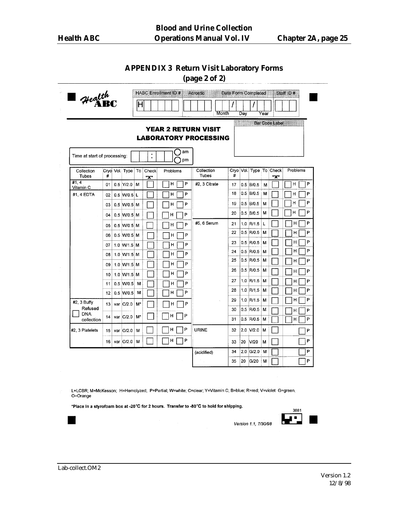# **APPENDIX 3 Return Visit Laboratory Forms**

## **(page 2 of 2)**

| $\blacksquare$ Health        |                 |                     | ΙH |                                  | <b>HABC Enrollment ID#</b> | <b>Acrostic</b>              | I  |     | Date Form Completed<br>I |      |                                     | Staff $D#$ |
|------------------------------|-----------------|---------------------|----|----------------------------------|----------------------------|------------------------------|----|-----|--------------------------|------|-------------------------------------|------------|
|                              |                 |                     |    |                                  |                            | Month                        |    | Dav |                          | Year |                                     |            |
|                              |                 |                     |    |                                  | <b>YEAR 2 RETURN VISIT</b> | <b>LABORATORY PROCESSING</b> |    |     |                          |      | Bar Code Label                      |            |
| Time at start of processing: |                 |                     |    | $\blacksquare$<br>$\blacksquare$ | am<br>pm                   |                              |    |     |                          |      |                                     |            |
| Collection<br>Tubes          | #               | Cryo Vol. Type   To |    | Check<br>"Х"                     | Problems                   | Collection<br>Tubes          | #  |     |                          |      | Cryo Vol   Type   To   Check<br>"X" | Problems   |
| #1.4<br>Vitamin C            | 01              | $0.5$ Y/2.0         | M  |                                  | P<br>н                     | #2, 3 Citrate                | 17 |     | $0.5$ B/0.5              | M    |                                     | P<br>н     |
| #1, 4 EDTA                   | 02 <sub>2</sub> | $0.5$ W/0.5 L       |    |                                  | P<br>н                     |                              | 18 |     | $0.5$ B/0.5              | М    |                                     | P<br>н     |
|                              | 03              | $0.5$ W/0.5 M       |    |                                  | P<br>н                     |                              | 19 |     | $0.5$ B/0.5              | M    |                                     | P<br>н     |
|                              | 04              | $0.5$ W/0.5 M       |    |                                  | P<br>н                     |                              | 20 |     | $0.5$ B/0.5              | М    |                                     | P<br>н     |
|                              | 05              | $0.5$ W/0.5 M       |    |                                  | P<br>н                     | #5, 6 Serum                  | 21 |     | 1.0 R/1.5                | L    |                                     | P<br>н     |
|                              | 06              | $0.5$ W/0.5 M       |    |                                  | P<br>н                     |                              | 22 |     | $0.5$ R/0.5              | M    |                                     | P<br>н     |
|                              | 07              | $1.0$ W/1.5 M       |    |                                  | P<br>н                     |                              | 23 |     | $0.5$ R/0.5              | М    |                                     | P<br>н     |
|                              | 08              | $1.0$ W/1.5 M       |    |                                  | P<br>Н                     |                              | 24 |     | $0.5$ R/0.5              | M    |                                     | P<br>н     |
|                              | 09              | $1.0$ W/1.5 M       |    |                                  | P<br>н                     |                              | 25 |     | $0.5$ R/0.5              | М    |                                     | P<br>н     |
|                              | 10              | $1.0$ W/1.5 M       |    |                                  | P<br>н                     |                              | 26 |     | $0.5$ R/0.5              | м    |                                     | P<br>н     |
|                              | 11              | $0.5$ W/0.5         | м  |                                  | P<br>н                     |                              | 27 |     | $1.0$ R/1.5              | M    |                                     | P<br>н     |
|                              | 12              | $0.5$ W/0.5         | м  |                                  | P<br>н                     |                              | 28 |     | $1.0$ R/1.5              | M    |                                     | P<br>н     |
| #2, 3 Buffy                  | 13              | var $C/2.0$         | M* |                                  | P<br>н                     |                              | 29 |     | $1.0$ R/1.5              | M    |                                     | P<br>н     |
| Refused<br><b>DNA</b>        | var C/2.0<br>14 | н<br>P              |    | 30                               |                            | $0.5$ R/0.5                  | M  |     | P<br>н                   |      |                                     |            |
| collection                   |                 |                     | M* |                                  |                            |                              | 31 |     | 0.5 R/0.5                | м    |                                     | P<br>н     |
| #2, 3 Platelets              | 15              | var 0/2.0           | M  |                                  | P<br>н                     | <b>URINE</b>                 | 32 |     | 2.0 V/2.0                | M    |                                     | P          |
|                              | 16              | var 0/2.0           | М  |                                  | P<br>н                     |                              | 33 | 20  | V/20                     | м    |                                     | P          |
|                              |                 |                     |    |                                  |                            | (acidified)                  | 34 |     | $2.0$ G/2.0              | M    |                                     | P          |
|                              |                 |                     |    |                                  |                            |                              | 35 | 20  | G/20                     | м    |                                     | P          |

L=LCBR; M=McKesson; H=Hemolyzed; P=Partial; W=white; C=clear; Y=Vitamin C; B=blue; R=red; V=violet G=green, O=Orange

\*Place in a styrofoam box at -20°C for 2 hours. Transfer to -80°C to hold for shipping.



Version 1.1, 7/30/98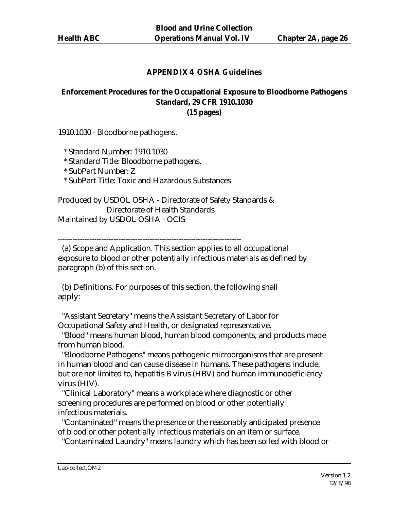## **APPENDIX 4 OSHA Guidelines**

## **Enforcement Procedures for the Occupational Exposure to Bloodborne Pathogens Standard, 29 CFR 1910.1030 (15 pages)**

1910.1030 - Bloodborne pathogens.

\* Standard Number: 1910.1030

\* Standard Title: Bloodborne pathogens.

\* SubPart Number: Z

\* SubPart Title: Toxic and Hazardous Substances

Produced by USDOL OSHA - Directorate of Safety Standards & Directorate of Health Standards Maintained by USDOL OSHA - OCIS

----------------------------------------------------------------------------

 (a) Scope and Application. This section applies to all occupational exposure to blood or other potentially infectious materials as defined by paragraph (b) of this section.

 (b) Definitions. For purposes of this section, the following shall apply:

 "Assistant Secretary" means the Assistant Secretary of Labor for Occupational Safety and Health, or designated representative.

 "Blood" means human blood, human blood components, and products made from human blood.

 "Bloodborne Pathogens" means pathogenic microorganisms that are present in human blood and can cause disease in humans. These pathogens include, but are not limited to, hepatitis B virus (HBV) and human immunodeficiency virus (HIV).

 "Clinical Laboratory" means a workplace where diagnostic or other screening procedures are performed on blood or other potentially infectious materials.

 "Contaminated" means the presence or the reasonably anticipated presence of blood or other potentially infectious materials on an item or surface.

"Contaminated Laundry" means laundry which has been soiled with blood or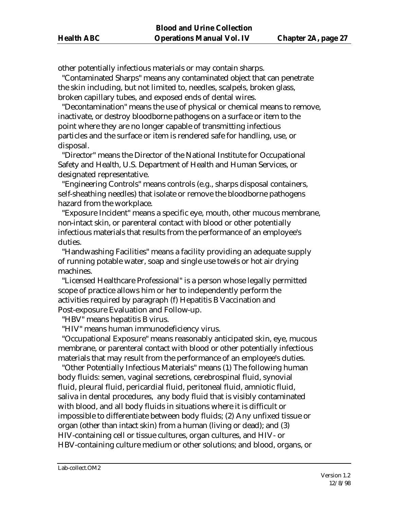other potentially infectious materials or may contain sharps.

 "Contaminated Sharps" means any contaminated object that can penetrate the skin including, but not limited to, needles, scalpels, broken glass, broken capillary tubes, and exposed ends of dental wires.

 "Decontamination" means the use of physical or chemical means to remove, inactivate, or destroy bloodborne pathogens on a surface or item to the point where they are no longer capable of transmitting infectious particles and the surface or item is rendered safe for handling, use, or disposal.

 "Director" means the Director of the National Institute for Occupational Safety and Health, U.S. Department of Health and Human Services, or designated representative.

 "Engineering Controls" means controls (e.g., sharps disposal containers, self-sheathing needles) that isolate or remove the bloodborne pathogens hazard from the workplace.

 "Exposure Incident" means a specific eye, mouth, other mucous membrane, non-intact skin, or parenteral contact with blood or other potentially infectious materials that results from the performance of an employee's duties.

 "Handwashing Facilities" means a facility providing an adequate supply of running potable water, soap and single use towels or hot air drying machines.

 "Licensed Healthcare Professional" is a person whose legally permitted scope of practice allows him or her to independently perform the activities required by paragraph (f) Hepatitis B Vaccination and Post-exposure Evaluation and Follow-up.

"HBV" means hepatitis B virus.

"HIV" means human immunodeficiency virus.

 "Occupational Exposure" means reasonably anticipated skin, eye, mucous membrane, or parenteral contact with blood or other potentially infectious materials that may result from the performance of an employee's duties.

 "Other Potentially Infectious Materials" means (1) The following human body fluids: semen, vaginal secretions, cerebrospinal fluid, synovial fluid, pleural fluid, pericardial fluid, peritoneal fluid, amniotic fluid, saliva in dental procedures, any body fluid that is visibly contaminated with blood, and all body fluids in situations where it is difficult or impossible to differentiate between body fluids; (2) Any unfixed tissue or organ (other than intact skin) from a human (living or dead); and (3) HIV-containing cell or tissue cultures, organ cultures, and HIV- or HBV-containing culture medium or other solutions; and blood, organs, or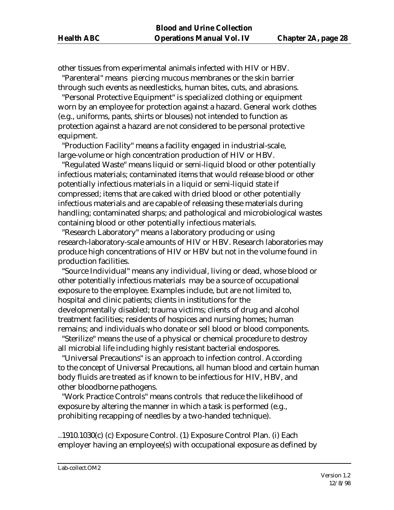other tissues from experimental animals infected with HIV or HBV.

 "Parenteral" means piercing mucous membranes or the skin barrier through such events as needlesticks, human bites, cuts, and abrasions.

 "Personal Protective Equipment" is specialized clothing or equipment worn by an employee for protection against a hazard. General work clothes (e.g., uniforms, pants, shirts or blouses) not intended to function as protection against a hazard are not considered to be personal protective equipment.

 "Production Facility" means a facility engaged in industrial-scale, large-volume or high concentration production of HIV or HBV.

 "Regulated Waste" means liquid or semi-liquid blood or other potentially infectious materials; contaminated items that would release blood or other potentially infectious materials in a liquid or semi-liquid state if compressed; items that are caked with dried blood or other potentially infectious materials and are capable of releasing these materials during handling; contaminated sharps; and pathological and microbiological wastes containing blood or other potentially infectious materials.

 "Research Laboratory" means a laboratory producing or using research-laboratory-scale amounts of HIV or HBV. Research laboratories may produce high concentrations of HIV or HBV but not in the volume found in production facilities.

 "Source Individual" means any individual, living or dead, whose blood or other potentially infectious materials may be a source of occupational exposure to the employee. Examples include, but are not limited to, hospital and clinic patients; clients in institutions for the developmentally disabled; trauma victims; clients of drug and alcohol treatment facilities; residents of hospices and nursing homes; human remains; and individuals who donate or sell blood or blood components.

 "Sterilize" means the use of a physical or chemical procedure to destroy all microbial life including highly resistant bacterial endospores.

 "Universal Precautions" is an approach to infection control. According to the concept of Universal Precautions, all human blood and certain human body fluids are treated as if known to be infectious for HIV, HBV, and other bloodborne pathogens.

 "Work Practice Controls" means controls that reduce the likelihood of exposure by altering the manner in which a task is performed (e.g., prohibiting recapping of needles by a two-handed technique).

..1910.1030(c) (c) Exposure Control. (1) Exposure Control Plan. (i) Each employer having an employee(s) with occupational exposure as defined by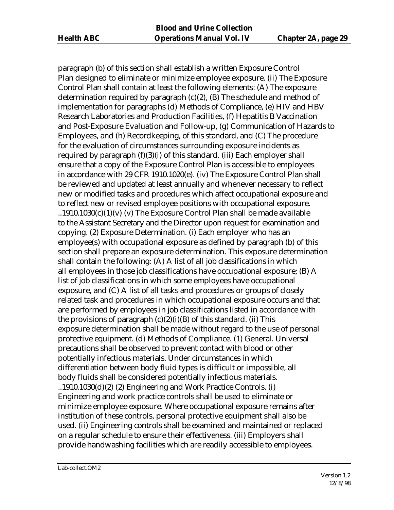paragraph (b) of this section shall establish a written Exposure Control Plan designed to eliminate or minimize employee exposure. (ii) The Exposure Control Plan shall contain at least the following elements: (A) The exposure determination required by paragraph (c)(2), (B) The schedule and method of implementation for paragraphs (d) Methods of Compliance, (e) HIV and HBV Research Laboratories and Production Facilities, (f) Hepatitis B Vaccination and Post-Exposure Evaluation and Follow-up, (g) Communication of Hazards to Employees, and (h) Recordkeeping, of this standard, and (C) The procedure for the evaluation of circumstances surrounding exposure incidents as required by paragraph (f)(3)(i) of this standard. (iii) Each employer shall ensure that a copy of the Exposure Control Plan is accessible to employees in accordance with 29 CFR 1910.1020(e). (iv) The Exposure Control Plan shall be reviewed and updated at least annually and whenever necessary to reflect new or modified tasks and procedures which affect occupational exposure and to reflect new or revised employee positions with occupational exposure.  $1.1910.1030(c)(1)(v)$  (v) The Exposure Control Plan shall be made available to the Assistant Secretary and the Director upon request for examination and copying. (2) Exposure Determination. (i) Each employer who has an employee(s) with occupational exposure as defined by paragraph (b) of this section shall prepare an exposure determination. This exposure determination shall contain the following: (A) A list of all job classifications in which all employees in those job classifications have occupational exposure; (B) A list of job classifications in which some employees have occupational exposure, and (C) A list of all tasks and procedures or groups of closely related task and procedures in which occupational exposure occurs and that are performed by employees in job classifications listed in accordance with the provisions of paragraph  $(c)(2)(i)(B)$  of this standard. (ii) This exposure determination shall be made without regard to the use of personal protective equipment. (d) Methods of Compliance. (1) General. Universal precautions shall be observed to prevent contact with blood or other potentially infectious materials. Under circumstances in which differentiation between body fluid types is difficult or impossible, all body fluids shall be considered potentially infectious materials. ..1910.1030(d)(2) (2) Engineering and Work Practice Controls. (i) Engineering and work practice controls shall be used to eliminate or minimize employee exposure. Where occupational exposure remains after institution of these controls, personal protective equipment shall also be used. (ii) Engineering controls shall be examined and maintained or replaced on a regular schedule to ensure their effectiveness. (iii) Employers shall provide handwashing facilities which are readily accessible to employees.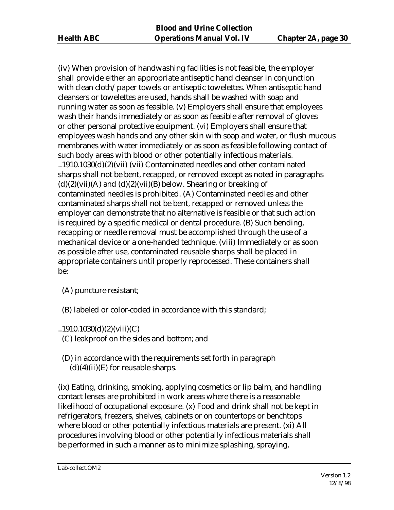(iv) When provision of handwashing facilities is not feasible, the employer shall provide either an appropriate antiseptic hand cleanser in conjunction with clean cloth/paper towels or antiseptic towelettes. When antiseptic hand cleansers or towelettes are used, hands shall be washed with soap and running water as soon as feasible. (v) Employers shall ensure that employees wash their hands immediately or as soon as feasible after removal of gloves or other personal protective equipment. (vi) Employers shall ensure that employees wash hands and any other skin with soap and water, or flush mucous membranes with water immediately or as soon as feasible following contact of such body areas with blood or other potentially infectious materials. ..1910.1030(d)(2)(vii) (vii) Contaminated needles and other contaminated sharps shall not be bent, recapped, or removed except as noted in paragraphs  $(d)(2)(vi)(A)$  and  $(d)(2)(vii)(B)$  below. Shearing or breaking of contaminated needles is prohibited. (A) Contaminated needles and other contaminated sharps shall not be bent, recapped or removed unless the employer can demonstrate that no alternative is feasible or that such action is required by a specific medical or dental procedure. (B) Such bending, recapping or needle removal must be accomplished through the use of a mechanical device or a one-handed technique. (viii) Immediately or as soon as possible after use, contaminated reusable sharps shall be placed in appropriate containers until properly reprocessed. These containers shall be:

- (A) puncture resistant;
- (B) labeled or color-coded in accordance with this standard;
- $.1910.1030(d)(2)(viii)(C)$
- (C) leakproof on the sides and bottom; and
- (D) in accordance with the requirements set forth in paragraph  $(d)(4)(ii)(E)$  for reusable sharps.

(ix) Eating, drinking, smoking, applying cosmetics or lip balm, and handling contact lenses are prohibited in work areas where there is a reasonable likelihood of occupational exposure. (x) Food and drink shall not be kept in refrigerators, freezers, shelves, cabinets or on countertops or benchtops where blood or other potentially infectious materials are present. (xi) All procedures involving blood or other potentially infectious materials shall be performed in such a manner as to minimize splashing, spraying,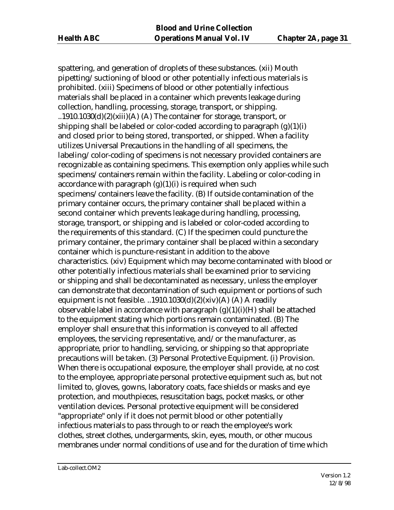spattering, and generation of droplets of these substances. (xii) Mouth pipetting/suctioning of blood or other potentially infectious materials is prohibited. (xiii) Specimens of blood or other potentially infectious materials shall be placed in a container which prevents leakage during collection, handling, processing, storage, transport, or shipping. ..1910.1030(d)(2)(xiii)(A) (A) The container for storage, transport, or shipping shall be labeled or color-coded according to paragraph (g)(1)(i) and closed prior to being stored, transported, or shipped. When a facility utilizes Universal Precautions in the handling of all specimens, the labeling/color-coding of specimens is not necessary provided containers are recognizable as containing specimens. This exemption only applies while such specimens/containers remain within the facility. Labeling or color-coding in accordance with paragraph  $(g)(1)(i)$  is required when such specimens/containers leave the facility. (B) If outside contamination of the primary container occurs, the primary container shall be placed within a second container which prevents leakage during handling, processing, storage, transport, or shipping and is labeled or color-coded according to the requirements of this standard. (C) If the specimen could puncture the primary container, the primary container shall be placed within a secondary container which is puncture-resistant in addition to the above characteristics. (xiv) Equipment which may become contaminated with blood or other potentially infectious materials shall be examined prior to servicing or shipping and shall be decontaminated as necessary, unless the employer can demonstrate that decontamination of such equipment or portions of such equipment is not feasible. ..1910.1030(d)(2)(xiv)(A) (A) A readily observable label in accordance with paragraph  $(g)(1)(i)(H)$  shall be attached to the equipment stating which portions remain contaminated. (B) The employer shall ensure that this information is conveyed to all affected employees, the servicing representative, and/or the manufacturer, as appropriate, prior to handling, servicing, or shipping so that appropriate precautions will be taken. (3) Personal Protective Equipment. (i) Provision. When there is occupational exposure, the employer shall provide, at no cost to the employee, appropriate personal protective equipment such as, but not limited to, gloves, gowns, laboratory coats, face shields or masks and eye protection, and mouthpieces, resuscitation bags, pocket masks, or other ventilation devices. Personal protective equipment will be considered "appropriate" only if it does not permit blood or other potentially infectious materials to pass through to or reach the employee's work clothes, street clothes, undergarments, skin, eyes, mouth, or other mucous membranes under normal conditions of use and for the duration of time which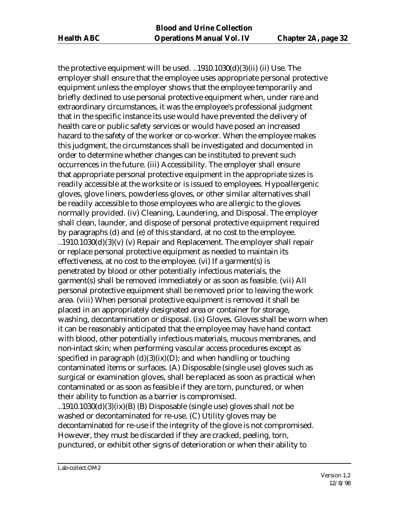the protective equipment will be used. ..1910.1030(d)(3)(ii) (ii) Use. The employer shall ensure that the employee uses appropriate personal protective equipment unless the employer shows that the employee temporarily and briefly declined to use personal protective equipment when, under rare and extraordinary circumstances, it was the employee's professional judgment that in the specific instance its use would have prevented the delivery of health care or public safety services or would have posed an increased hazard to the safety of the worker or co-worker. When the employee makes this judgment, the circumstances shall be investigated and documented in order to determine whether changes can be instituted to prevent such occurrences in the future. (iii) Accessibility. The employer shall ensure that appropriate personal protective equipment in the appropriate sizes is readily accessible at the worksite or is issued to employees. Hypoallergenic gloves, glove liners, powderless gloves, or other similar alternatives shall be readily accessible to those employees who are allergic to the gloves normally provided. (iv) Cleaning, Laundering, and Disposal. The employer shall clean, launder, and dispose of personal protective equipment required by paragraphs (d) and (e) of this standard, at no cost to the employee.  $1.1910.1030(d)(3)(v)$  (v) Repair and Replacement. The employer shall repair or replace personal protective equipment as needed to maintain its effectiveness, at no cost to the employee. (vi) If a garment(s) is penetrated by blood or other potentially infectious materials, the garment(s) shall be removed immediately or as soon as feasible. (vii) All personal protective equipment shall be removed prior to leaving the work area. (viii) When personal protective equipment is removed it shall be placed in an appropriately designated area or container for storage, washing, decontamination or disposal. (ix) Gloves. Gloves shall be worn when it can be reasonably anticipated that the employee may have hand contact with blood, other potentially infectious materials, mucous membranes, and non-intact skin; when performing vascular access procedures except as specified in paragraph  $(d)(3)(ix)(D)$ ; and when handling or touching contaminated items or surfaces. (A) Disposable (single use) gloves such as surgical or examination gloves, shall be replaced as soon as practical when contaminated or as soon as feasible if they are torn, punctured, or when their ability to function as a barrier is compromised. ..1910.1030(d)(3)(ix)(B) (B) Disposable (single use) gloves shall not be washed or decontaminated for re-use. (C) Utility gloves may be decontaminated for re-use if the integrity of the glove is not compromised. However, they must be discarded if they are cracked, peeling, torn, punctured, or exhibit other signs of deterioration or when their ability to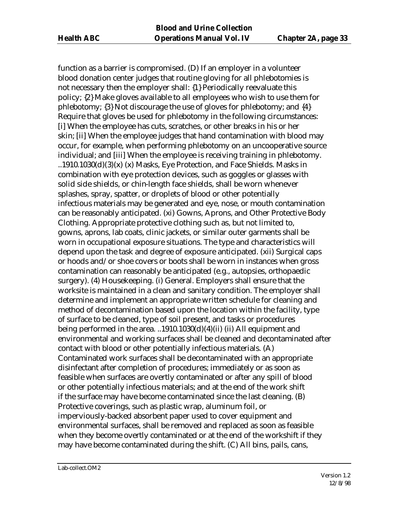function as a barrier is compromised. (D) If an employer in a volunteer blood donation center judges that routine gloving for all phlebotomies is not necessary then the employer shall: {1} Periodically reevaluate this policy; {2} Make gloves available to all employees who wish to use them for phlebotomy; {3} Not discourage the use of gloves for phlebotomy; and {4} Require that gloves be used for phlebotomy in the following circumstances: [i] When the employee has cuts, scratches, or other breaks in his or her skin; [ii] When the employee judges that hand contamination with blood may occur, for example, when performing phlebotomy on an uncooperative source individual; and [iii] When the employee is receiving training in phlebotomy. ..1910.1030(d)(3)(x) (x) Masks, Eye Protection, and Face Shields. Masks in combination with eye protection devices, such as goggles or glasses with solid side shields, or chin-length face shields, shall be worn whenever splashes, spray, spatter, or droplets of blood or other potentially infectious materials may be generated and eye, nose, or mouth contamination can be reasonably anticipated. (xi) Gowns, Aprons, and Other Protective Body Clothing. Appropriate protective clothing such as, but not limited to, gowns, aprons, lab coats, clinic jackets, or similar outer garments shall be worn in occupational exposure situations. The type and characteristics will depend upon the task and degree of exposure anticipated. (xii) Surgical caps or hoods and/or shoe covers or boots shall be worn in instances when gross contamination can reasonably be anticipated (e.g., autopsies, orthopaedic surgery). (4) Housekeeping. (i) General. Employers shall ensure that the worksite is maintained in a clean and sanitary condition. The employer shall determine and implement an appropriate written schedule for cleaning and method of decontamination based upon the location within the facility, type of surface to be cleaned, type of soil present, and tasks or procedures being performed in the area. ..1910.1030(d)(4)(ii) (ii) All equipment and environmental and working surfaces shall be cleaned and decontaminated after contact with blood or other potentially infectious materials. (A) Contaminated work surfaces shall be decontaminated with an appropriate disinfectant after completion of procedures; immediately or as soon as feasible when surfaces are overtly contaminated or after any spill of blood or other potentially infectious materials; and at the end of the work shift if the surface may have become contaminated since the last cleaning. (B) Protective coverings, such as plastic wrap, aluminum foil, or imperviously-backed absorbent paper used to cover equipment and environmental surfaces, shall be removed and replaced as soon as feasible when they become overtly contaminated or at the end of the workshift if they may have become contaminated during the shift. (C) All bins, pails, cans,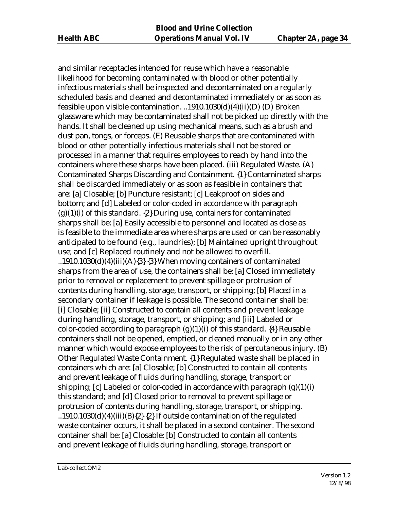and similar receptacles intended for reuse which have a reasonable likelihood for becoming contaminated with blood or other potentially infectious materials shall be inspected and decontaminated on a regularly scheduled basis and cleaned and decontaminated immediately or as soon as feasible upon visible contamination. ..1910.1030(d)(4)(ii)(D) (D) Broken glassware which may be contaminated shall not be picked up directly with the hands. It shall be cleaned up using mechanical means, such as a brush and dust pan, tongs, or forceps. (E) Reusable sharps that are contaminated with blood or other potentially infectious materials shall not be stored or processed in a manner that requires employees to reach by hand into the containers where these sharps have been placed. (iii) Regulated Waste. (A) Contaminated Sharps Discarding and Containment. {1} Contaminated sharps shall be discarded immediately or as soon as feasible in containers that are: [a] Closable; [b] Puncture resistant; [c] Leakproof on sides and bottom; and [d] Labeled or color-coded in accordance with paragraph  $(g)(1)(i)$  of this standard.  $\{2\}$  During use, containers for contaminated sharps shall be: [a] Easily accessible to personnel and located as close as is feasible to the immediate area where sharps are used or can be reasonably anticipated to be found (e.g., laundries); [b] Maintained upright throughout use; and [c] Replaced routinely and not be allowed to overfill. ..1910.1030(d)(4)(iii)(A){3} {3} When moving containers of contaminated sharps from the area of use, the containers shall be: [a] Closed immediately prior to removal or replacement to prevent spillage or protrusion of contents during handling, storage, transport, or shipping; [b] Placed in a secondary container if leakage is possible. The second container shall be: [i] Closable; [ii] Constructed to contain all contents and prevent leakage during handling, storage, transport, or shipping; and [iii] Labeled or color-coded according to paragraph  $(g)(1)(i)$  of this standard.  $\{4\}$  Reusable containers shall not be opened, emptied, or cleaned manually or in any other manner which would expose employees to the risk of percutaneous injury. (B) Other Regulated Waste Containment. {1} Regulated waste shall be placed in containers which are: [a] Closable; [b] Constructed to contain all contents and prevent leakage of fluids during handling, storage, transport or shipping; [c] Labeled or color-coded in accordance with paragraph (g)(1)(i) this standard; and [d] Closed prior to removal to prevent spillage or protrusion of contents during handling, storage, transport, or shipping. ..1910.1030(d)(4)(iii)(B){2} {2} If outside contamination of the regulated waste container occurs, it shall be placed in a second container. The second container shall be: [a] Closable; [b] Constructed to contain all contents and prevent leakage of fluids during handling, storage, transport or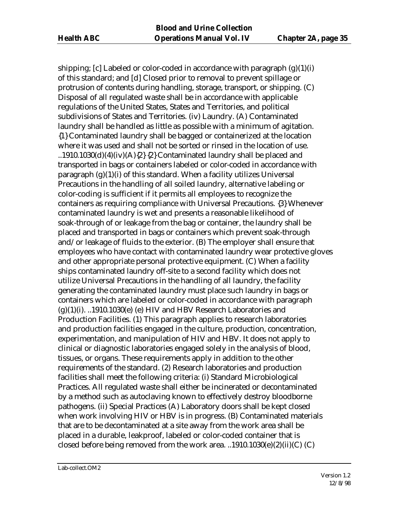shipping; [c] Labeled or color-coded in accordance with paragraph (g)(1)(i) of this standard; and [d] Closed prior to removal to prevent spillage or protrusion of contents during handling, storage, transport, or shipping. (C) Disposal of all regulated waste shall be in accordance with applicable regulations of the United States, States and Territories, and political subdivisions of States and Territories. (iv) Laundry. (A) Contaminated laundry shall be handled as little as possible with a minimum of agitation. {1} Contaminated laundry shall be bagged or containerized at the location where it was used and shall not be sorted or rinsed in the location of use. ..1910.1030(d)(4)(iv)(A){2} {2} Contaminated laundry shall be placed and transported in bags or containers labeled or color-coded in accordance with paragraph  $(g)(1)(i)$  of this standard. When a facility utilizes Universal Precautions in the handling of all soiled laundry, alternative labeling or color-coding is sufficient if it permits all employees to recognize the containers as requiring compliance with Universal Precautions. {3} Whenever contaminated laundry is wet and presents a reasonable likelihood of soak-through of or leakage from the bag or container, the laundry shall be placed and transported in bags or containers which prevent soak-through and/or leakage of fluids to the exterior. (B) The employer shall ensure that employees who have contact with contaminated laundry wear protective gloves and other appropriate personal protective equipment. (C) When a facility ships contaminated laundry off-site to a second facility which does not utilize Universal Precautions in the handling of all laundry, the facility generating the contaminated laundry must place such laundry in bags or containers which are labeled or color-coded in accordance with paragraph  $(g)(1)(i)$ . ..1910.1030 $(e)$  (e) HIV and HBV Research Laboratories and Production Facilities. (1) This paragraph applies to research laboratories and production facilities engaged in the culture, production, concentration, experimentation, and manipulation of HIV and HBV. It does not apply to clinical or diagnostic laboratories engaged solely in the analysis of blood, tissues, or organs. These requirements apply in addition to the other requirements of the standard. (2) Research laboratories and production facilities shall meet the following criteria: (i) Standard Microbiological Practices. All regulated waste shall either be incinerated or decontaminated by a method such as autoclaving known to effectively destroy bloodborne pathogens. (ii) Special Practices (A) Laboratory doors shall be kept closed when work involving HIV or HBV is in progress. (B) Contaminated materials that are to be decontaminated at a site away from the work area shall be placed in a durable, leakproof, labeled or color-coded container that is closed before being removed from the work area. ..1910.1030 $(e)(2)(ii)(C)(C)$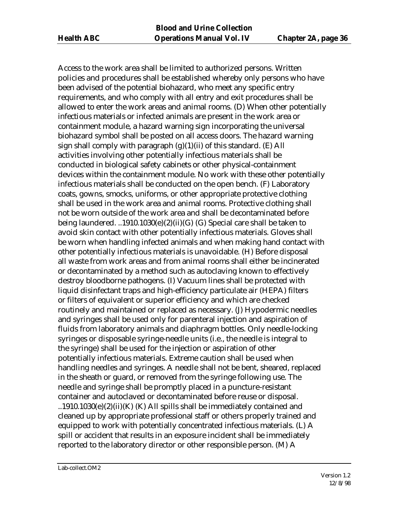Access to the work area shall be limited to authorized persons. Written policies and procedures shall be established whereby only persons who have been advised of the potential biohazard, who meet any specific entry requirements, and who comply with all entry and exit procedures shall be allowed to enter the work areas and animal rooms. (D) When other potentially infectious materials or infected animals are present in the work area or containment module, a hazard warning sign incorporating the universal biohazard symbol shall be posted on all access doors. The hazard warning sign shall comply with paragraph  $(g)(1)(ii)$  of this standard.  $(E)$  All activities involving other potentially infectious materials shall be conducted in biological safety cabinets or other physical-containment devices within the containment module. No work with these other potentially infectious materials shall be conducted on the open bench. (F) Laboratory coats, gowns, smocks, uniforms, or other appropriate protective clothing shall be used in the work area and animal rooms. Protective clothing shall not be worn outside of the work area and shall be decontaminated before being laundered. ..1910.1030(e)(2)(ii)(G) (G) Special care shall be taken to avoid skin contact with other potentially infectious materials. Gloves shall be worn when handling infected animals and when making hand contact with other potentially infectious materials is unavoidable. (H) Before disposal all waste from work areas and from animal rooms shall either be incinerated or decontaminated by a method such as autoclaving known to effectively destroy bloodborne pathogens. (I) Vacuum lines shall be protected with liquid disinfectant traps and high-efficiency particulate air (HEPA) filters or filters of equivalent or superior efficiency and which are checked routinely and maintained or replaced as necessary. (J) Hypodermic needles and syringes shall be used only for parenteral injection and aspiration of fluids from laboratory animals and diaphragm bottles. Only needle-locking syringes or disposable syringe-needle units (i.e., the needle is integral to the syringe) shall be used for the injection or aspiration of other potentially infectious materials. Extreme caution shall be used when handling needles and syringes. A needle shall not be bent, sheared, replaced in the sheath or guard, or removed from the syringe following use. The needle and syringe shall be promptly placed in a puncture-resistant container and autoclaved or decontaminated before reuse or disposal. ..1910.1030(e)(2)(ii)(K) (K) All spills shall be immediately contained and cleaned up by appropriate professional staff or others properly trained and equipped to work with potentially concentrated infectious materials. (L) A spill or accident that results in an exposure incident shall be immediately reported to the laboratory director or other responsible person. (M) A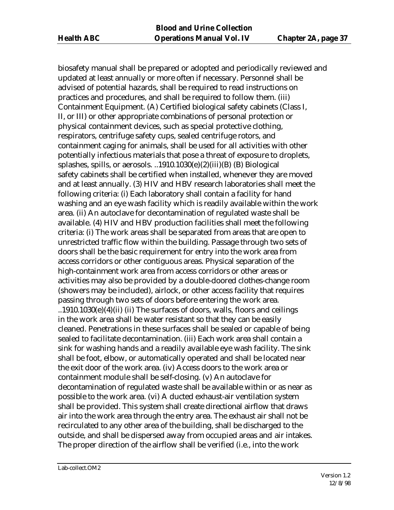biosafety manual shall be prepared or adopted and periodically reviewed and updated at least annually or more often if necessary. Personnel shall be advised of potential hazards, shall be required to read instructions on practices and procedures, and shall be required to follow them. (iii) Containment Equipment. (A) Certified biological safety cabinets (Class I, II, or III) or other appropriate combinations of personal protection or physical containment devices, such as special protective clothing, respirators, centrifuge safety cups, sealed centrifuge rotors, and containment caging for animals, shall be used for all activities with other potentially infectious materials that pose a threat of exposure to droplets, splashes, spills, or aerosols. ..1910.1030(e)(2)(iii)(B) (B) Biological safety cabinets shall be certified when installed, whenever they are moved and at least annually. (3) HIV and HBV research laboratories shall meet the following criteria: (i) Each laboratory shall contain a facility for hand washing and an eye wash facility which is readily available within the work area. (ii) An autoclave for decontamination of regulated waste shall be available. (4) HIV and HBV production facilities shall meet the following criteria: (i) The work areas shall be separated from areas that are open to unrestricted traffic flow within the building. Passage through two sets of doors shall be the basic requirement for entry into the work area from access corridors or other contiguous areas. Physical separation of the high-containment work area from access corridors or other areas or activities may also be provided by a double-doored clothes-change room (showers may be included), airlock, or other access facility that requires passing through two sets of doors before entering the work area. ..1910.1030(e)(4)(ii) (ii) The surfaces of doors, walls, floors and ceilings in the work area shall be water resistant so that they can be easily cleaned. Penetrations in these surfaces shall be sealed or capable of being sealed to facilitate decontamination. (iii) Each work area shall contain a sink for washing hands and a readily available eye wash facility. The sink shall be foot, elbow, or automatically operated and shall be located near the exit door of the work area. (iv) Access doors to the work area or containment module shall be self-closing. (v) An autoclave for decontamination of regulated waste shall be available within or as near as possible to the work area. (vi) A ducted exhaust-air ventilation system shall be provided. This system shall create directional airflow that draws air into the work area through the entry area. The exhaust air shall not be recirculated to any other area of the building, shall be discharged to the outside, and shall be dispersed away from occupied areas and air intakes. The proper direction of the airflow shall be verified (i.e., into the work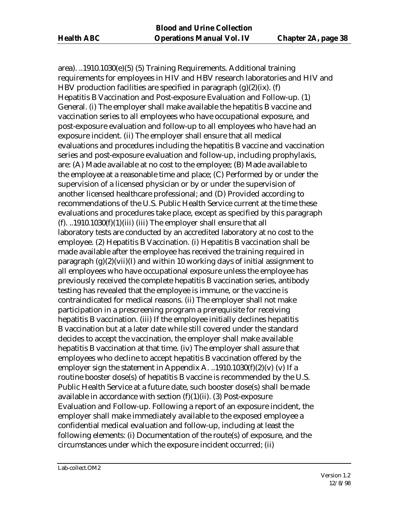area). ..1910.1030(e)(5) (5) Training Requirements. Additional training requirements for employees in HIV and HBV research laboratories and HIV and HBV production facilities are specified in paragraph  $(g)(2)(ix)$ . (f) Hepatitis B Vaccination and Post-exposure Evaluation and Follow-up. (1) General. (i) The employer shall make available the hepatitis B vaccine and vaccination series to all employees who have occupational exposure, and post-exposure evaluation and follow-up to all employees who have had an exposure incident. (ii) The employer shall ensure that all medical evaluations and procedures including the hepatitis B vaccine and vaccination series and post-exposure evaluation and follow-up, including prophylaxis, are: (A) Made available at no cost to the employee; (B) Made available to the employee at a reasonable time and place; (C) Performed by or under the supervision of a licensed physician or by or under the supervision of another licensed healthcare professional; and (D) Provided according to recommendations of the U.S. Public Health Service current at the time these evaluations and procedures take place, except as specified by this paragraph  $(f)$ . ..1910.1030 $(f)(1)(iii)$  (iii) The employer shall ensure that all laboratory tests are conducted by an accredited laboratory at no cost to the employee. (2) Hepatitis B Vaccination. (i) Hepatitis B vaccination shall be made available after the employee has received the training required in paragraph (g)(2)(vii)(I) and within 10 working days of initial assignment to all employees who have occupational exposure unless the employee has previously received the complete hepatitis B vaccination series, antibody testing has revealed that the employee is immune, or the vaccine is contraindicated for medical reasons. (ii) The employer shall not make participation in a prescreening program a prerequisite for receiving hepatitis B vaccination. (iii) If the employee initially declines hepatitis B vaccination but at a later date while still covered under the standard decides to accept the vaccination, the employer shall make available hepatitis B vaccination at that time. (iv) The employer shall assure that employees who decline to accept hepatitis B vaccination offered by the employer sign the statement in Appendix A. ..1910.1030(f)(2)(v) (v) If a routine booster dose(s) of hepatitis B vaccine is recommended by the U.S. Public Health Service at a future date, such booster dose(s) shall be made available in accordance with section  $(f)(1)(ii)$ . (3) Post-exposure Evaluation and Follow-up. Following a report of an exposure incident, the employer shall make immediately available to the exposed employee a confidential medical evaluation and follow-up, including at least the following elements: (i) Documentation of the route(s) of exposure, and the circumstances under which the exposure incident occurred; (ii)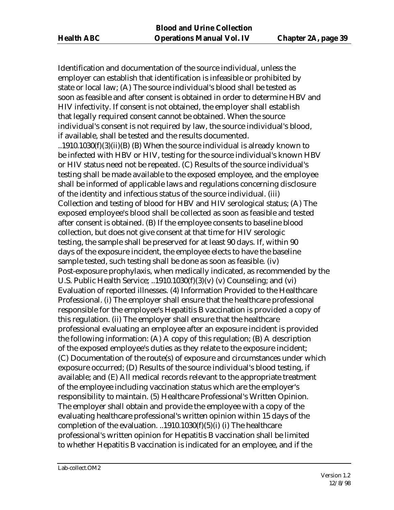Identification and documentation of the source individual, unless the employer can establish that identification is infeasible or prohibited by state or local law; (A) The source individual's blood shall be tested as soon as feasible and after consent is obtained in order to determine HBV and HIV infectivity. If consent is not obtained, the employer shall establish that legally required consent cannot be obtained. When the source individual's consent is not required by law, the source individual's blood, if available, shall be tested and the results documented. ..1910.1030(f)(3)(ii)(B) (B) When the source individual is already known to be infected with HBV or HIV, testing for the source individual's known HBV or HIV status need not be repeated. (C) Results of the source individual's testing shall be made available to the exposed employee, and the employee shall be informed of applicable laws and regulations concerning disclosure of the identity and infectious status of the source individual. (iii) Collection and testing of blood for HBV and HIV serological status; (A) The exposed employee's blood shall be collected as soon as feasible and tested after consent is obtained. (B) If the employee consents to baseline blood collection, but does not give consent at that time for HIV serologic testing, the sample shall be preserved for at least 90 days. If, within 90 days of the exposure incident, the employee elects to have the baseline sample tested, such testing shall be done as soon as feasible. (iv) Post-exposure prophylaxis, when medically indicated, as recommended by the U.S. Public Health Service; ..1910.1030(f)(3)(v) (v) Counseling; and (vi) Evaluation of reported illnesses. (4) Information Provided to the Healthcare Professional. (i) The employer shall ensure that the healthcare professional responsible for the employee's Hepatitis B vaccination is provided a copy of this regulation. (ii) The employer shall ensure that the healthcare professional evaluating an employee after an exposure incident is provided the following information: (A) A copy of this regulation; (B) A description of the exposed employee's duties as they relate to the exposure incident; (C) Documentation of the route(s) of exposure and circumstances under which exposure occurred; (D) Results of the source individual's blood testing, if available; and (E) All medical records relevant to the appropriate treatment of the employee including vaccination status which are the employer's responsibility to maintain. (5) Healthcare Professional's Written Opinion. The employer shall obtain and provide the employee with a copy of the evaluating healthcare professional's written opinion within 15 days of the completion of the evaluation. ..1910.1030 $(f)(5)(i)$  (i) The healthcare professional's written opinion for Hepatitis B vaccination shall be limited to whether Hepatitis B vaccination is indicated for an employee, and if the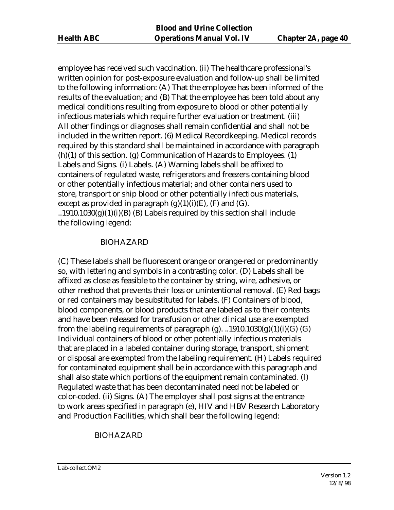employee has received such vaccination. (ii) The healthcare professional's written opinion for post-exposure evaluation and follow-up shall be limited to the following information: (A) That the employee has been informed of the results of the evaluation; and (B) That the employee has been told about any medical conditions resulting from exposure to blood or other potentially infectious materials which require further evaluation or treatment. (iii) All other findings or diagnoses shall remain confidential and shall not be included in the written report. (6) Medical Recordkeeping. Medical records required by this standard shall be maintained in accordance with paragraph (h)(1) of this section. (g) Communication of Hazards to Employees. (1) Labels and Signs. (i) Labels. (A) Warning labels shall be affixed to containers of regulated waste, refrigerators and freezers containing blood or other potentially infectious material; and other containers used to store, transport or ship blood or other potentially infectious materials, except as provided in paragraph  $(g)(1)(i)(E)$ ,  $(F)$  and  $(G)$ .  $1910.1030(g)(1)(i)(B)$  (B) Labels required by this section shall include the following legend:

### BIOHAZARD

(C) These labels shall be fluorescent orange or orange-red or predominantly so, with lettering and symbols in a contrasting color. (D) Labels shall be affixed as close as feasible to the container by string, wire, adhesive, or other method that prevents their loss or unintentional removal. (E) Red bags or red containers may be substituted for labels. (F) Containers of blood, blood components, or blood products that are labeled as to their contents and have been released for transfusion or other clinical use are exempted from the labeling requirements of paragraph  $(g)$ . ..1910.1030 $(g)(1)(i)(G)$   $(G)$ Individual containers of blood or other potentially infectious materials that are placed in a labeled container during storage, transport, shipment or disposal are exempted from the labeling requirement. (H) Labels required for contaminated equipment shall be in accordance with this paragraph and shall also state which portions of the equipment remain contaminated. (I) Regulated waste that has been decontaminated need not be labeled or color-coded. (ii) Signs. (A) The employer shall post signs at the entrance to work areas specified in paragraph (e), HIV and HBV Research Laboratory and Production Facilities, which shall bear the following legend:

## BIOHAZARD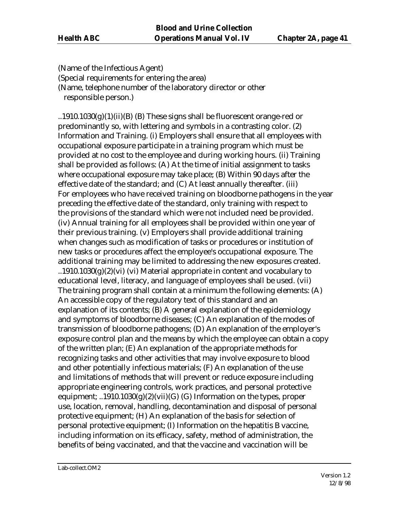(Name of the Infectious Agent) (Special requirements for entering the area) (Name, telephone number of the laboratory director or other

responsible person.)

..1910.1030(g)(1)(ii)(B) (B) These signs shall be fluorescent orange-red or predominantly so, with lettering and symbols in a contrasting color. (2) Information and Training. (i) Employers shall ensure that all employees with occupational exposure participate in a training program which must be provided at no cost to the employee and during working hours. (ii) Training shall be provided as follows: (A) At the time of initial assignment to tasks where occupational exposure may take place; (B) Within 90 days after the effective date of the standard; and (C) At least annually thereafter. (iii) For employees who have received training on bloodborne pathogens in the year preceding the effective date of the standard, only training with respect to the provisions of the standard which were not included need be provided. (iv) Annual training for all employees shall be provided within one year of their previous training. (v) Employers shall provide additional training when changes such as modification of tasks or procedures or institution of new tasks or procedures affect the employee's occupational exposure. The additional training may be limited to addressing the new exposures created. ..1910.1030(g)(2)(vi) (vi) Material appropriate in content and vocabulary to educational level, literacy, and language of employees shall be used. (vii) The training program shall contain at a minimum the following elements: (A) An accessible copy of the regulatory text of this standard and an explanation of its contents; (B) A general explanation of the epidemiology and symptoms of bloodborne diseases; (C) An explanation of the modes of transmission of bloodborne pathogens; (D) An explanation of the employer's exposure control plan and the means by which the employee can obtain a copy of the written plan; (E) An explanation of the appropriate methods for recognizing tasks and other activities that may involve exposure to blood and other potentially infectious materials; (F) An explanation of the use and limitations of methods that will prevent or reduce exposure including appropriate engineering controls, work practices, and personal protective equipment;  $.1910.1030(g)(2)(vii)(G)$  (G) Information on the types, proper use, location, removal, handling, decontamination and disposal of personal protective equipment; (H) An explanation of the basis for selection of personal protective equipment; (I) Information on the hepatitis B vaccine, including information on its efficacy, safety, method of administration, the benefits of being vaccinated, and that the vaccine and vaccination will be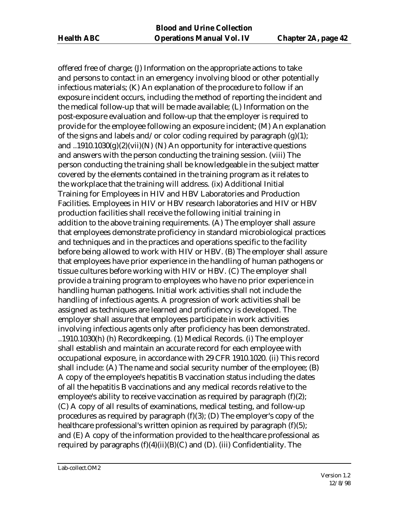offered free of charge; (J) Information on the appropriate actions to take and persons to contact in an emergency involving blood or other potentially infectious materials; (K) An explanation of the procedure to follow if an exposure incident occurs, including the method of reporting the incident and the medical follow-up that will be made available; (L) Information on the post-exposure evaluation and follow-up that the employer is required to provide for the employee following an exposure incident; (M) An explanation of the signs and labels and/or color coding required by paragraph  $(g)(1)$ ; and  $.1910.1030(g)(2)(vii)(N)$  (N) An opportunity for interactive questions and answers with the person conducting the training session. (viii) The person conducting the training shall be knowledgeable in the subject matter covered by the elements contained in the training program as it relates to the workplace that the training will address. (ix) Additional Initial Training for Employees in HIV and HBV Laboratories and Production Facilities. Employees in HIV or HBV research laboratories and HIV or HBV production facilities shall receive the following initial training in addition to the above training requirements. (A) The employer shall assure that employees demonstrate proficiency in standard microbiological practices and techniques and in the practices and operations specific to the facility before being allowed to work with HIV or HBV. (B) The employer shall assure that employees have prior experience in the handling of human pathogens or tissue cultures before working with HIV or HBV. (C) The employer shall provide a training program to employees who have no prior experience in handling human pathogens. Initial work activities shall not include the handling of infectious agents. A progression of work activities shall be assigned as techniques are learned and proficiency is developed. The employer shall assure that employees participate in work activities involving infectious agents only after proficiency has been demonstrated. ..1910.1030(h) (h) Recordkeeping. (1) Medical Records. (i) The employer shall establish and maintain an accurate record for each employee with occupational exposure, in accordance with 29 CFR 1910.1020. (ii) This record shall include: (A) The name and social security number of the employee; (B) A copy of the employee's hepatitis B vaccination status including the dates of all the hepatitis B vaccinations and any medical records relative to the employee's ability to receive vaccination as required by paragraph (f)(2); (C) A copy of all results of examinations, medical testing, and follow-up procedures as required by paragraph (f)(3); (D) The employer's copy of the healthcare professional's written opinion as required by paragraph (f)(5); and (E) A copy of the information provided to the healthcare professional as required by paragraphs  $(f)(4)(ii)(B)(C)$  and  $(D)$ . (iii) Confidentiality. The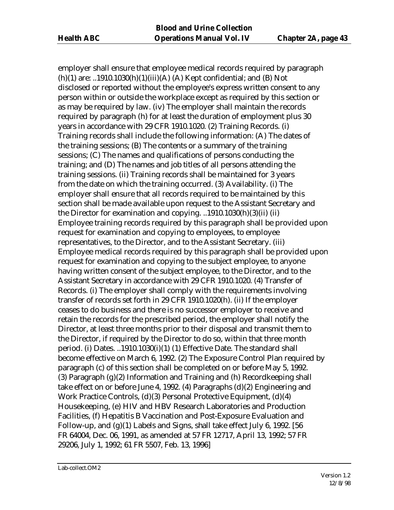employer shall ensure that employee medical records required by paragraph (h)(1) are: ..1910.1030(h)(1)(iii)(A) (A) Kept confidential; and (B) Not disclosed or reported without the employee's express written consent to any person within or outside the workplace except as required by this section or as may be required by law. (iv) The employer shall maintain the records required by paragraph (h) for at least the duration of employment plus 30 years in accordance with 29 CFR 1910.1020. (2) Training Records. (i) Training records shall include the following information: (A) The dates of the training sessions; (B) The contents or a summary of the training sessions; (C) The names and qualifications of persons conducting the training; and (D) The names and job titles of all persons attending the training sessions. (ii) Training records shall be maintained for 3 years from the date on which the training occurred. (3) Availability. (i) The employer shall ensure that all records required to be maintained by this section shall be made available upon request to the Assistant Secretary and the Director for examination and copying. ..1910.1030(h)(3)(ii) (ii) Employee training records required by this paragraph shall be provided upon request for examination and copying to employees, to employee representatives, to the Director, and to the Assistant Secretary. (iii) Employee medical records required by this paragraph shall be provided upon request for examination and copying to the subject employee, to anyone having written consent of the subject employee, to the Director, and to the Assistant Secretary in accordance with 29 CFR 1910.1020. (4) Transfer of Records. (i) The employer shall comply with the requirements involving transfer of records set forth in 29 CFR 1910.1020(h). (ii) If the employer ceases to do business and there is no successor employer to receive and retain the records for the prescribed period, the employer shall notify the Director, at least three months prior to their disposal and transmit them to the Director, if required by the Director to do so, within that three month period. (i) Dates. ..1910.1030(i)(1) (1) Effective Date. The standard shall become effective on March 6, 1992. (2) The Exposure Control Plan required by paragraph (c) of this section shall be completed on or before May 5, 1992. (3) Paragraph (g)(2) Information and Training and (h) Recordkeeping shall take effect on or before June 4, 1992. (4) Paragraphs (d)(2) Engineering and Work Practice Controls, (d)(3) Personal Protective Equipment, (d)(4) Housekeeping, (e) HIV and HBV Research Laboratories and Production Facilities, (f) Hepatitis B Vaccination and Post-Exposure Evaluation and Follow-up, and  $(g)(1)$  Labels and Signs, shall take effect July 6, 1992. [56] FR 64004, Dec. 06, 1991, as amended at 57 FR 12717, April 13, 1992; 57 FR 29206, July 1, 1992; 61 FR 5507, Feb. 13, 1996]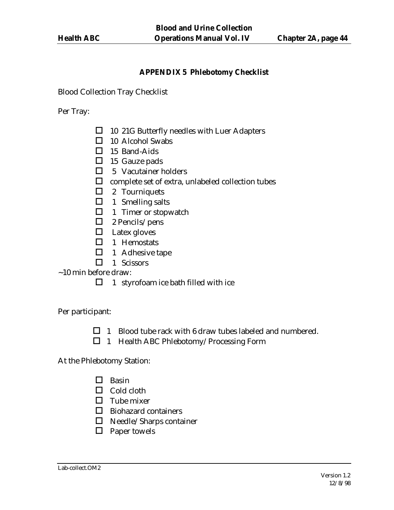## **APPENDIX 5 Phlebotomy Checklist**

Blood Collection Tray Checklist

Per Tray:

- $\Box$  10 21G Butterfly needles with Luer Adapters
- $\Box$  10 Alcohol Swabs
- $\Box$  15 Band-Aids
- $\Box$  15 Gauze pads
- $\Box$  5 Vacutainer holders
- $\Box$  complete set of extra, unlabeled collection tubes
- $\Box$  2 Tourniquets
- $\Box$  1 Smelling salts
- $\Box$  1 Timer or stopwatch
- $\Box$  2 Pencils/pens
- $\Box$  Latex gloves
- $\Box$  1 Hemostats
- $\Box$  1 Adhesive tape
- $\Box$  1 Scissors

~10 min before draw:

 $\Box$  1 styrofoam ice bath filled with ice

Per participant:

- $\Box$  1 Blood tube rack with 6 draw tubes labeled and numbered.
- $\Box$  1 Health ABC Phlebotomy/Processing Form

At the Phlebotomy Station:

- $\Box$  Basin
- $\Box$  Cold cloth
- $\Box$  Tube mixer
- $\Box$  Biohazard containers
- $\hfill\Box\quad$  Needle/Sharps container
- $\Box$  Paper towels